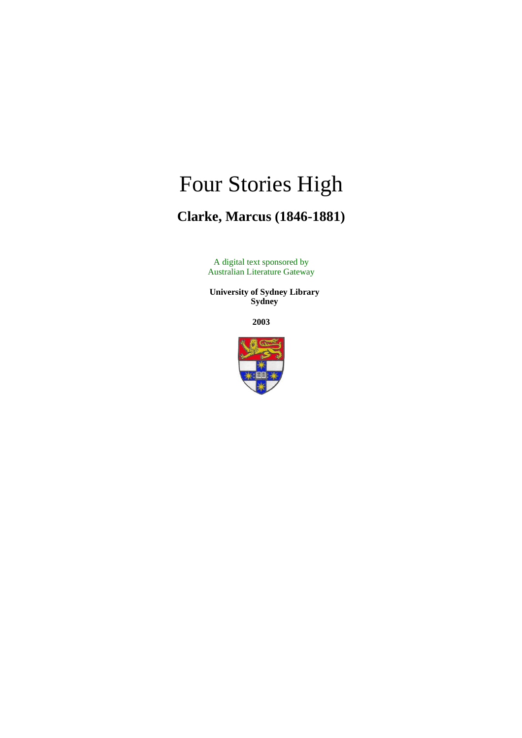# Four Stories High

# **Clarke, Marcus (1846-1881)**

A digital text sponsored by Australian Literature Gateway

 **University of Sydney Library Sydney**

**2003**

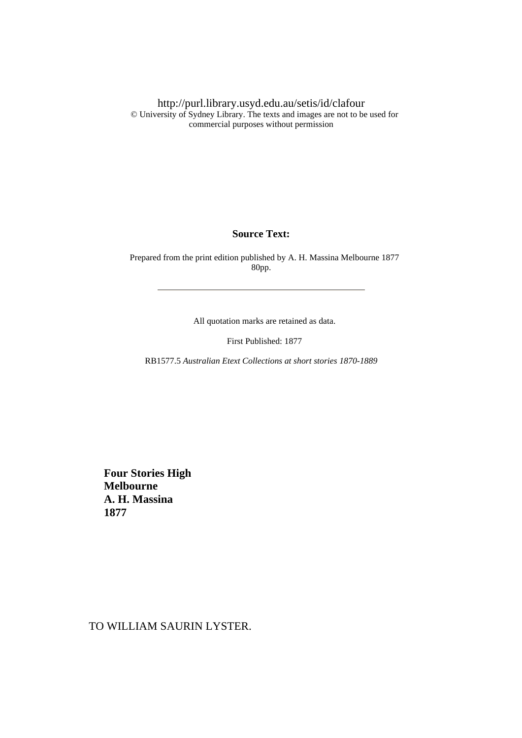http://purl.library.usyd.edu.au/setis/id/clafour © University of Sydney Library. The texts and images are not to be used for commercial purposes without permission

#### **Source Text:**

 Prepared from the print edition published by A. H. Massina Melbourne 1877 80pp.

All quotation marks are retained as data.

First Published: 1877

RB1577.5 *Australian Etext Collections at short stories 1870-1889*

 **Four Stories High Melbourne A. H. Massina 1877**

TO WILLIAM SAURIN LYSTER.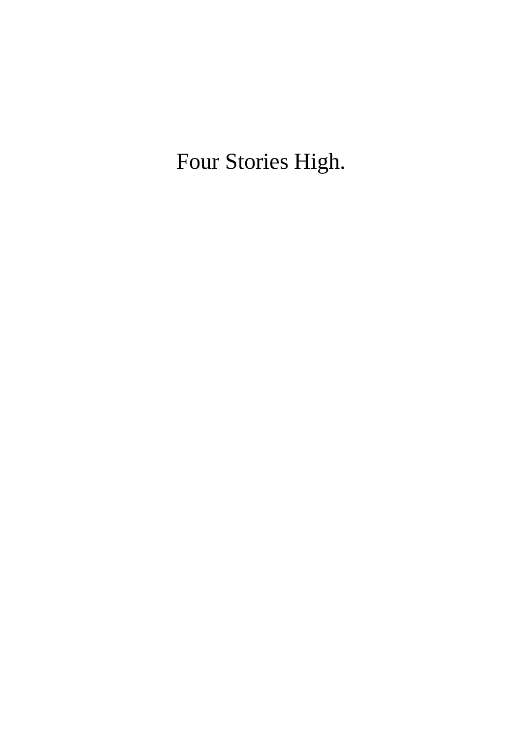Four Stories High.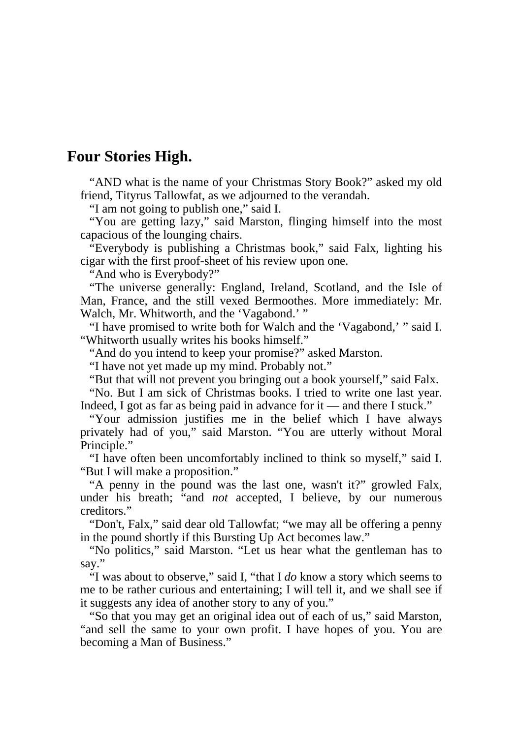## **Four Stories High.**

 "AND what is the name of your Christmas Story Book?" asked my old friend, Tityrus Tallowfat, as we adjourned to the verandah.

"I am not going to publish one," said I.

 "You are getting lazy," said Marston, flinging himself into the most capacious of the lounging chairs.

 "Everybody is publishing a Christmas book," said Falx, lighting his cigar with the first proof-sheet of his review upon one.

"And who is Everybody?"

 "The universe generally: England, Ireland, Scotland, and the Isle of Man, France, and the still vexed Bermoothes. More immediately: Mr. Walch, Mr. Whitworth, and the 'Vagabond.' "

 "I have promised to write both for Walch and the 'Vagabond,' " said I. "Whitworth usually writes his books himself."

"And do you intend to keep your promise?" asked Marston.

"I have not yet made up my mind. Probably not."

"But that will not prevent you bringing out a book yourself," said Falx.

 "No. But I am sick of Christmas books. I tried to write one last year. Indeed, I got as far as being paid in advance for it — and there I stuck."

 "Your admission justifies me in the belief which I have always privately had of you," said Marston. "You are utterly without Moral Principle."

 "I have often been uncomfortably inclined to think so myself," said I. "But I will make a proposition."

 "A penny in the pound was the last one, wasn't it?" growled Falx, under his breath; "and *not* accepted, I believe, by our numerous creditors."

 "Don't, Falx," said dear old Tallowfat; "we may all be offering a penny in the pound shortly if this Bursting Up Act becomes law."

 "No politics," said Marston. "Let us hear what the gentleman has to say."

 "I was about to observe," said I, "that I *do* know a story which seems to me to be rather curious and entertaining; I will tell it, and we shall see if it suggests any idea of another story to any of you."

 "So that you may get an original idea out of each of us," said Marston, "and sell the same to your own profit. I have hopes of you. You are becoming a Man of Business."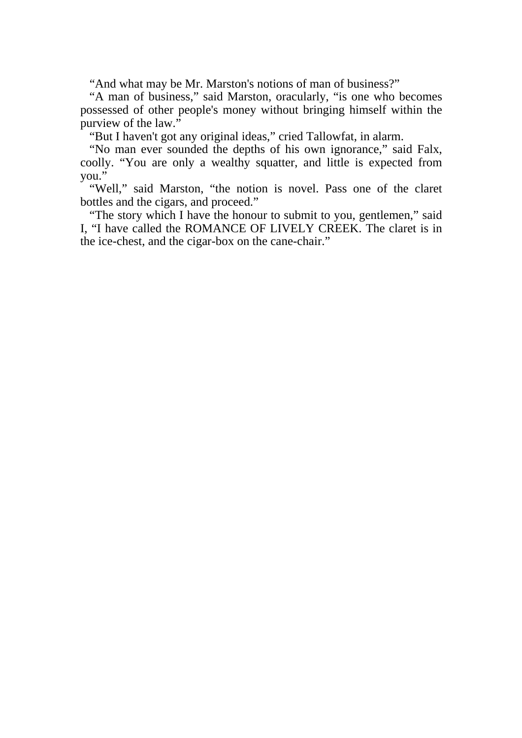"And what may be Mr. Marston's notions of man of business?"

 "A man of business," said Marston, oracularly, "is one who becomes possessed of other people's money without bringing himself within the purview of the  $law$ ."

"But I haven't got any original ideas," cried Tallowfat, in alarm.

 "No man ever sounded the depths of his own ignorance," said Falx, coolly. "You are only a wealthy squatter, and little is expected from you."

 "Well," said Marston, "the notion is novel. Pass one of the claret bottles and the cigars, and proceed."

 "The story which I have the honour to submit to you, gentlemen," said I, "I have called the ROMANCE OF LIVELY CREEK. The claret is in the ice-chest, and the cigar-box on the cane-chair."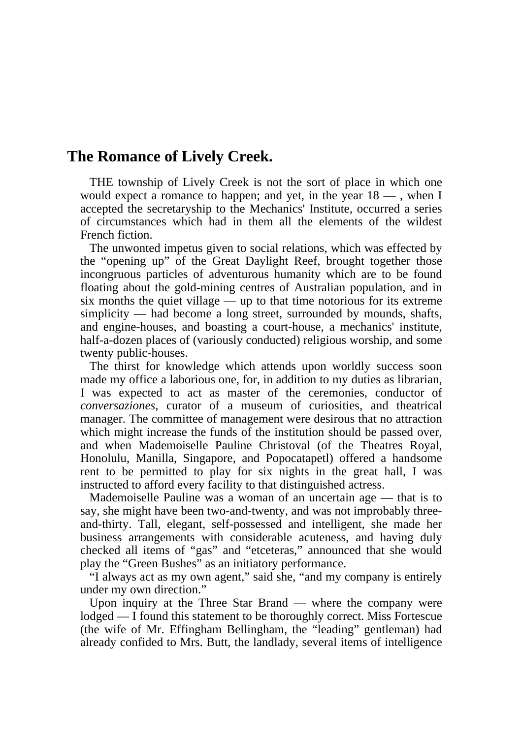### **The Romance of Lively Creek.**

 THE township of Lively Creek is not the sort of place in which one would expect a romance to happen; and yet, in the year  $18 -$ , when I accepted the secretaryship to the Mechanics' Institute, occurred a series of circumstances which had in them all the elements of the wildest French fiction.

 The unwonted impetus given to social relations, which was effected by the "opening up" of the Great Daylight Reef, brought together those incongruous particles of adventurous humanity which are to be found floating about the gold-mining centres of Australian population, and in six months the quiet village — up to that time notorious for its extreme simplicity — had become a long street, surrounded by mounds, shafts, and engine-houses, and boasting a court-house, a mechanics' institute, half-a-dozen places of (variously conducted) religious worship, and some twenty public-houses.

 The thirst for knowledge which attends upon worldly success soon made my office a laborious one, for, in addition to my duties as librarian, I was expected to act as master of the ceremonies, conductor of *conversaziones*, curator of a museum of curiosities, and theatrical manager. The committee of management were desirous that no attraction which might increase the funds of the institution should be passed over, and when Mademoiselle Pauline Christoval (of the Theatres Royal, Honolulu, Manilla, Singapore, and Popocatapetl) offered a handsome rent to be permitted to play for six nights in the great hall, I was instructed to afford every facility to that distinguished actress.

 Mademoiselle Pauline was a woman of an uncertain age — that is to say, she might have been two-and-twenty, and was not improbably threeand-thirty. Tall, elegant, self-possessed and intelligent, she made her business arrangements with considerable acuteness, and having duly checked all items of "gas" and "etceteras," announced that she would play the "Green Bushes" as an initiatory performance.

 "I always act as my own agent," said she, "and my company is entirely under my own direction."

 Upon inquiry at the Three Star Brand — where the company were lodged — I found this statement to be thoroughly correct. Miss Fortescue (the wife of Mr. Effingham Bellingham, the "leading" gentleman) had already confided to Mrs. Butt, the landlady, several items of intelligence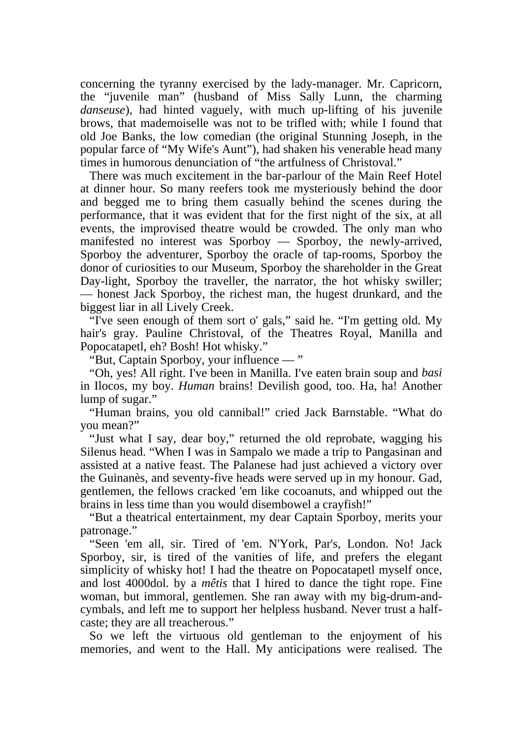concerning the tyranny exercised by the lady-manager. Mr. Capricorn, the "juvenile man" (husband of Miss Sally Lunn, the charming *danseuse*), had hinted vaguely, with much up-lifting of his juvenile brows, that mademoiselle was not to be trifled with; while I found that old Joe Banks, the low comedian (the original Stunning Joseph, in the popular farce of "My Wife's Aunt"), had shaken his venerable head many times in humorous denunciation of "the artfulness of Christoval."

 There was much excitement in the bar-parlour of the Main Reef Hotel at dinner hour. So many reefers took me mysteriously behind the door and begged me to bring them casually behind the scenes during the performance, that it was evident that for the first night of the six, at all events, the improvised theatre would be crowded. The only man who manifested no interest was Sporboy — Sporboy, the newly-arrived, Sporboy the adventurer, Sporboy the oracle of tap-rooms, Sporboy the donor of curiosities to our Museum, Sporboy the shareholder in the Great Day-light, Sporboy the traveller, the narrator, the hot whisky swiller; — honest Jack Sporboy, the richest man, the hugest drunkard, and the biggest liar in all Lively Creek.

 "I've seen enough of them sort o' gals," said he. "I'm getting old. My hair's gray. Pauline Christoval, of the Theatres Royal, Manilla and Popocatapetl, eh? Bosh! Hot whisky."

"But, Captain Sporboy, your influence — "

 "Oh, yes! All right. I've been in Manilla. I've eaten brain soup and *basi* in Ilocos, my boy. *Human* brains! Devilish good, too. Ha, ha! Another lump of sugar."

 "Human brains, you old cannibal!" cried Jack Barnstable. "What do you mean?"

 "Just what I say, dear boy," returned the old reprobate, wagging his Silenus head. "When I was in Sampalo we made a trip to Pangasinan and assisted at a native feast. The Palanese had just achieved a victory over the Guinanès, and seventy-five heads were served up in my honour. Gad, gentlemen, the fellows cracked 'em like cocoanuts, and whipped out the brains in less time than you would disembowel a crayfish!"

 "But a theatrical entertainment, my dear Captain Sporboy, merits your patronage."

 "Seen 'em all, sir. Tired of 'em. N'York, Par's, London. No! Jack Sporboy, sir, is tired of the vanities of life, and prefers the elegant simplicity of whisky hot! I had the theatre on Popocatapetl myself once, and lost 4000dol. by a *mêtis* that I hired to dance the tight rope. Fine woman, but immoral, gentlemen. She ran away with my big-drum-andcymbals, and left me to support her helpless husband. Never trust a halfcaste; they are all treacherous."

 So we left the virtuous old gentleman to the enjoyment of his memories, and went to the Hall. My anticipations were realised. The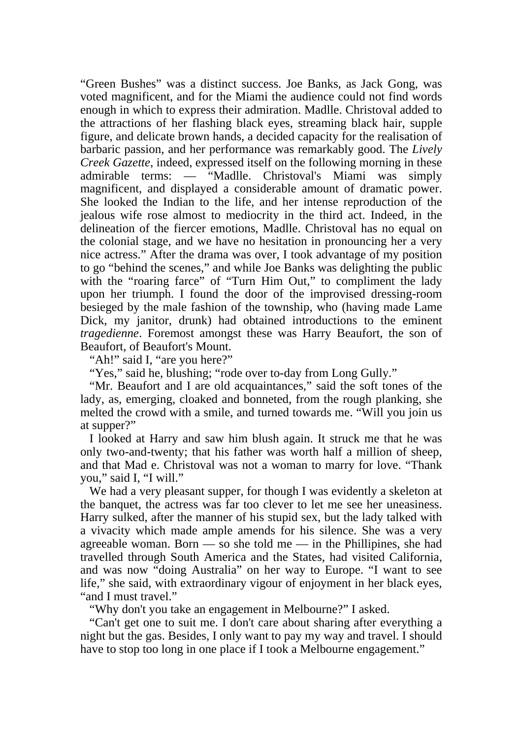"Green Bushes" was a distinct success. Joe Banks, as Jack Gong, was voted magnificent, and for the Miami the audience could not find words enough in which to express their admiration. Madlle. Christoval added to the attractions of her flashing black eyes, streaming black hair, supple figure, and delicate brown hands, a decided capacity for the realisation of barbaric passion, and her performance was remarkably good. The *Lively Creek Gazette*, indeed, expressed itself on the following morning in these admirable terms: — "Madlle. Christoval's Miami was simply magnificent, and displayed a considerable amount of dramatic power. She looked the Indian to the life, and her intense reproduction of the jealous wife rose almost to mediocrity in the third act. Indeed, in the delineation of the fiercer emotions, Madlle. Christoval has no equal on the colonial stage, and we have no hesitation in pronouncing her a very nice actress." After the drama was over, I took advantage of my position to go "behind the scenes," and while Joe Banks was delighting the public with the "roaring farce" of "Turn Him Out," to compliment the lady upon her triumph. I found the door of the improvised dressing-room besieged by the male fashion of the township, who (having made Lame Dick, my janitor, drunk) had obtained introductions to the eminent *tragedienne*. Foremost amongst these was Harry Beaufort, the son of Beaufort, of Beaufort's Mount.

"Ah!" said I, "are you here?"

"Yes," said he, blushing; "rode over to-day from Long Gully."

 "Mr. Beaufort and I are old acquaintances," said the soft tones of the lady, as, emerging, cloaked and bonneted, from the rough planking, she melted the crowd with a smile, and turned towards me. "Will you join us at supper?"

 I looked at Harry and saw him blush again. It struck me that he was only two-and-twenty; that his father was worth half a million of sheep, and that Mad e. Christoval was not a woman to marry for love. "Thank you," said I, "I will."

 We had a very pleasant supper, for though I was evidently a skeleton at the banquet, the actress was far too clever to let me see her uneasiness. Harry sulked, after the manner of his stupid sex, but the lady talked with a vivacity which made ample amends for his silence. She was a very agreeable woman. Born  $\sim$  so she told me  $\sim$  in the Phillipines, she had travelled through South America and the States, had visited California, and was now "doing Australia" on her way to Europe. "I want to see life," she said, with extraordinary vigour of enjoyment in her black eyes, "and I must travel."

"Why don't you take an engagement in Melbourne?" I asked.

 "Can't get one to suit me. I don't care about sharing after everything a night but the gas. Besides, I only want to pay my way and travel. I should have to stop too long in one place if I took a Melbourne engagement."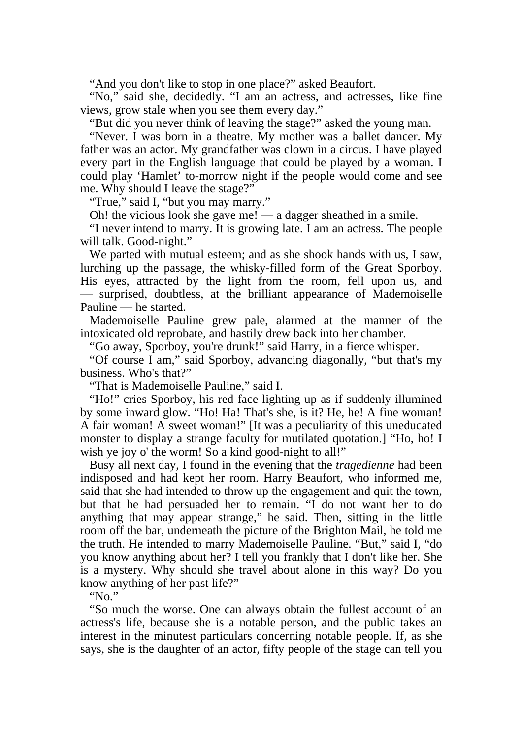"And you don't like to stop in one place?" asked Beaufort.

 "No," said she, decidedly. "I am an actress, and actresses, like fine views, grow stale when you see them every day."

"But did you never think of leaving the stage?" asked the young man.

 "Never. I was born in a theatre. My mother was a ballet dancer. My father was an actor. My grandfather was clown in a circus. I have played every part in the English language that could be played by a woman. I could play 'Hamlet' to-morrow night if the people would come and see me. Why should I leave the stage?"

"True," said I, "but you may marry."

Oh! the vicious look she gave me! — a dagger sheathed in a smile.

 "I never intend to marry. It is growing late. I am an actress. The people will talk. Good-night."

We parted with mutual esteem; and as she shook hands with us, I saw, lurching up the passage, the whisky-filled form of the Great Sporboy. His eyes, attracted by the light from the room, fell upon us, and — surprised, doubtless, at the brilliant appearance of Mademoiselle Pauline — he started.

 Mademoiselle Pauline grew pale, alarmed at the manner of the intoxicated old reprobate, and hastily drew back into her chamber.

"Go away, Sporboy, you're drunk!" said Harry, in a fierce whisper.

 "Of course I am," said Sporboy, advancing diagonally, "but that's my business. Who's that?"

"That is Mademoiselle Pauline," said I.

 "Ho!" cries Sporboy, his red face lighting up as if suddenly illumined by some inward glow. "Ho! Ha! That's she, is it? He, he! A fine woman! A fair woman! A sweet woman!" [It was a peculiarity of this uneducated monster to display a strange faculty for mutilated quotation.] "Ho, ho! I wish ye joy o' the worm! So a kind good-night to all!"

 Busy all next day, I found in the evening that the *tragedienne* had been indisposed and had kept her room. Harry Beaufort, who informed me, said that she had intended to throw up the engagement and quit the town, but that he had persuaded her to remain. "I do not want her to do anything that may appear strange," he said. Then, sitting in the little room off the bar, underneath the picture of the Brighton Mail, he told me the truth. He intended to marry Mademoiselle Pauline. "But," said I, "do you know anything about her? I tell you frankly that I don't like her. She is a mystery. Why should she travel about alone in this way? Do you know anything of her past life?"

"No."

 "So much the worse. One can always obtain the fullest account of an actress's life, because she is a notable person, and the public takes an interest in the minutest particulars concerning notable people. If, as she says, she is the daughter of an actor, fifty people of the stage can tell you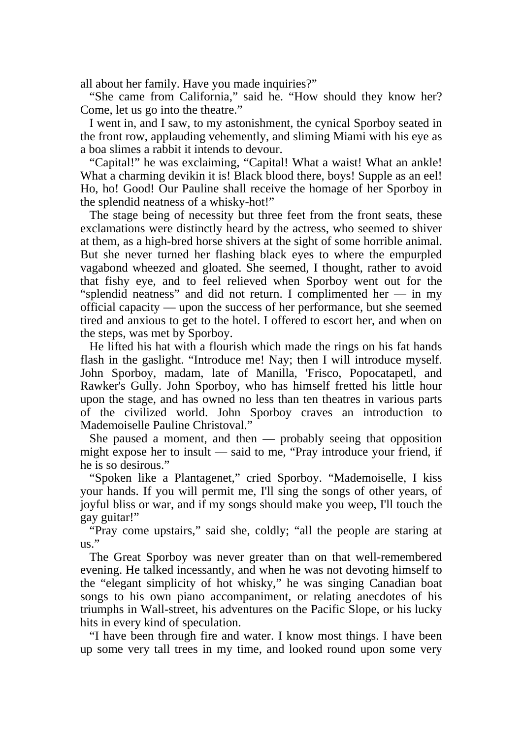all about her family. Have you made inquiries?"

"She came from California," said he. "How should they know her? Come, let us go into the theatre."

 I went in, and I saw, to my astonishment, the cynical Sporboy seated in the front row, applauding vehemently, and sliming Miami with his eye as a boa slimes a rabbit it intends to devour.

 "Capital!" he was exclaiming, "Capital! What a waist! What an ankle! What a charming devikin it is! Black blood there, boys! Supple as an eel! Ho, ho! Good! Our Pauline shall receive the homage of her Sporboy in the splendid neatness of a whisky-hot!"

 The stage being of necessity but three feet from the front seats, these exclamations were distinctly heard by the actress, who seemed to shiver at them, as a high-bred horse shivers at the sight of some horrible animal. But she never turned her flashing black eyes to where the empurpled vagabond wheezed and gloated. She seemed, I thought, rather to avoid that fishy eye, and to feel relieved when Sporboy went out for the "splendid neatness" and did not return. I complimented her — in my official capacity — upon the success of her performance, but she seemed tired and anxious to get to the hotel. I offered to escort her, and when on the steps, was met by Sporboy.

 He lifted his hat with a flourish which made the rings on his fat hands flash in the gaslight. "Introduce me! Nay; then I will introduce myself. John Sporboy, madam, late of Manilla, 'Frisco, Popocatapetl, and Rawker's Gully. John Sporboy, who has himself fretted his little hour upon the stage, and has owned no less than ten theatres in various parts of the civilized world. John Sporboy craves an introduction to Mademoiselle Pauline Christoval."

 She paused a moment, and then — probably seeing that opposition might expose her to insult — said to me, "Pray introduce your friend, if he is so desirous."

 "Spoken like a Plantagenet," cried Sporboy. "Mademoiselle, I kiss your hands. If you will permit me, I'll sing the songs of other years, of joyful bliss or war, and if my songs should make you weep, I'll touch the gay guitar!"

 "Pray come upstairs," said she, coldly; "all the people are staring at  $\overline{\mathbf{u}}$   $\mathbf{s}$ ."

 The Great Sporboy was never greater than on that well-remembered evening. He talked incessantly, and when he was not devoting himself to the "elegant simplicity of hot whisky," he was singing Canadian boat songs to his own piano accompaniment, or relating anecdotes of his triumphs in Wall-street, his adventures on the Pacific Slope, or his lucky hits in every kind of speculation.

 "I have been through fire and water. I know most things. I have been up some very tall trees in my time, and looked round upon some very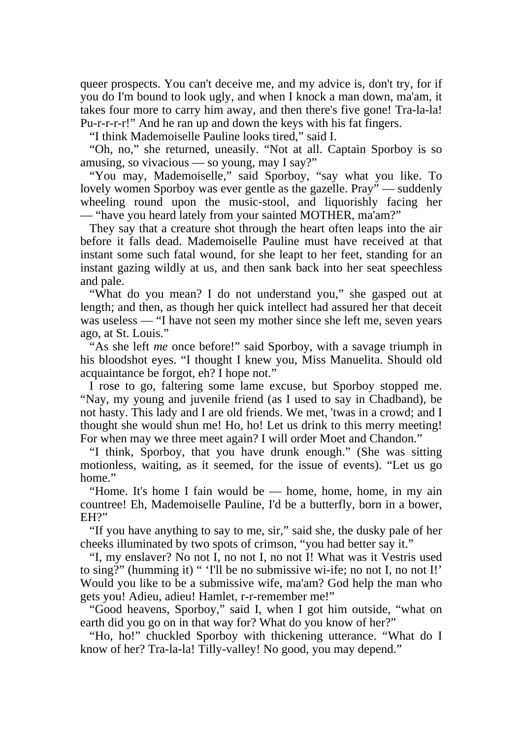queer prospects. You can't deceive me, and my advice is, don't try, for if you do I'm bound to look ugly, and when I knock a man down, ma'am, it takes four more to carry him away, and then there's five gone! Tra-la-la! Pu-r-r-r-r!" And he ran up and down the keys with his fat fingers.

"I think Mademoiselle Pauline looks tired," said I.

 "Oh, no," she returned, uneasily. "Not at all. Captain Sporboy is so amusing, so vivacious — so young, may I say?"

 "You may, Mademoiselle," said Sporboy, "say what you like. To lovely women Sporboy was ever gentle as the gazelle. Pray" — suddenly wheeling round upon the music-stool, and liquorishly facing her — "have you heard lately from your sainted MOTHER, ma'am?"

 They say that a creature shot through the heart often leaps into the air before it falls dead. Mademoiselle Pauline must have received at that instant some such fatal wound, for she leapt to her feet, standing for an instant gazing wildly at us, and then sank back into her seat speechless and pale.

 "What do you mean? I do not understand you," she gasped out at length; and then, as though her quick intellect had assured her that deceit was useless — "I have not seen my mother since she left me, seven years ago, at St. Louis."

 "As she left *me* once before!" said Sporboy, with a savage triumph in his bloodshot eyes. "I thought I knew you, Miss Manuelita. Should old acquaintance be forgot, eh? I hope not."

 I rose to go, faltering some lame excuse, but Sporboy stopped me. "Nay, my young and juvenile friend (as I used to say in Chadband), be not hasty. This lady and I are old friends. We met, 'twas in a crowd; and I thought she would shun me! Ho, ho! Let us drink to this merry meeting! For when may we three meet again? I will order Moet and Chandon."

 "I think, Sporboy, that you have drunk enough." (She was sitting motionless, waiting, as it seemed, for the issue of events). "Let us go home."

 "Home. It's home I fain would be — home, home, home, in my ain countree! Eh, Mademoiselle Pauline, I'd be a butterfly, born in a bower, EH?"

 "If you have anything to say to me, sir," said she, the dusky pale of her cheeks illuminated by two spots of crimson, "you had better say it."

 "I, my enslaver? No not I, no not I, no not I! What was it Vestris used to sing?" (humming it) " 'I'll be no submissive wi-ife; no not I, no not I!' Would you like to be a submissive wife, ma'am? God help the man who gets you! Adieu, adieu! Hamlet, r-r-remember me!"

 "Good heavens, Sporboy," said I, when I got him outside, "what on earth did you go on in that way for? What do you know of her?"

 "Ho, ho!" chuckled Sporboy with thickening utterance. "What do I know of her? Tra-la-la! Tilly-valley! No good, you may depend."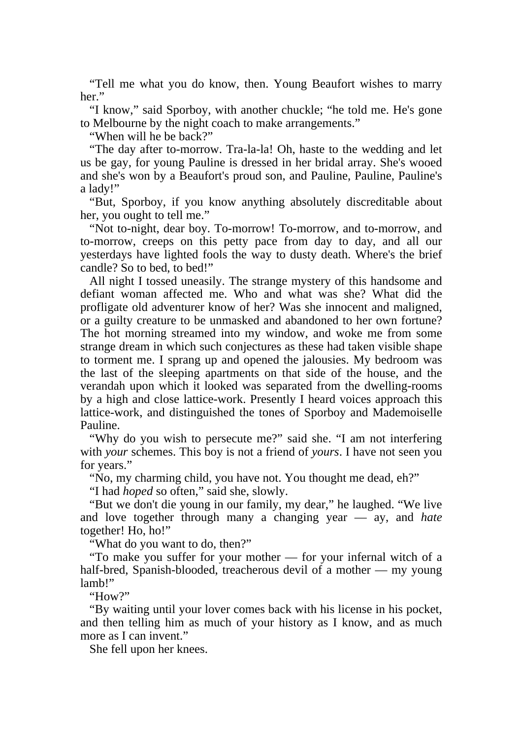"Tell me what you do know, then. Young Beaufort wishes to marry her"

 "I know," said Sporboy, with another chuckle; "he told me. He's gone to Melbourne by the night coach to make arrangements."

"When will he be back?"

 "The day after to-morrow. Tra-la-la! Oh, haste to the wedding and let us be gay, for young Pauline is dressed in her bridal array. She's wooed and she's won by a Beaufort's proud son, and Pauline, Pauline, Pauline's a lady!"

 "But, Sporboy, if you know anything absolutely discreditable about her, you ought to tell me."

 "Not to-night, dear boy. To-morrow! To-morrow, and to-morrow, and to-morrow, creeps on this petty pace from day to day, and all our yesterdays have lighted fools the way to dusty death. Where's the brief candle? So to bed, to bed!"

 All night I tossed uneasily. The strange mystery of this handsome and defiant woman affected me. Who and what was she? What did the profligate old adventurer know of her? Was she innocent and maligned, or a guilty creature to be unmasked and abandoned to her own fortune? The hot morning streamed into my window, and woke me from some strange dream in which such conjectures as these had taken visible shape to torment me. I sprang up and opened the jalousies. My bedroom was the last of the sleeping apartments on that side of the house, and the verandah upon which it looked was separated from the dwelling-rooms by a high and close lattice-work. Presently I heard voices approach this lattice-work, and distinguished the tones of Sporboy and Mademoiselle Pauline.

 "Why do you wish to persecute me?" said she. "I am not interfering with *your* schemes. This boy is not a friend of *yours*. I have not seen you for years."

"No, my charming child, you have not. You thought me dead, eh?"

"I had *hoped* so often," said she, slowly.

 "But we don't die young in our family, my dear," he laughed. "We live and love together through many a changing year — ay, and *hate* together! Ho, ho!"

"What do you want to do, then?"

 "To make you suffer for your mother — for your infernal witch of a half-bred, Spanish-blooded, treacherous devil of a mother — my young lamb!"

"How?"

 "By waiting until your lover comes back with his license in his pocket, and then telling him as much of your history as I know, and as much more as I can invent."

She fell upon her knees.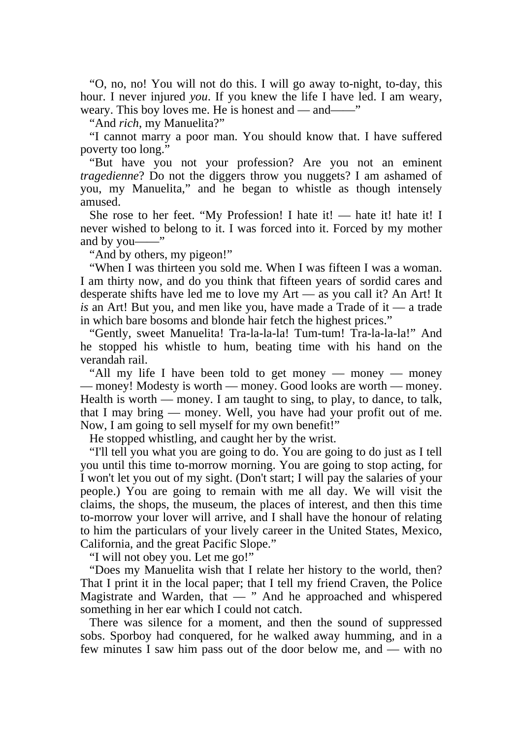"O, no, no! You will not do this. I will go away to-night, to-day, this hour. I never injured *you*. If you knew the life I have led. I am weary, weary. This boy loves me. He is honest and — and——"

"And *rich*, my Manuelita?"

 "I cannot marry a poor man. You should know that. I have suffered poverty too long."

 "But have you not your profession? Are you not an eminent *tragedienne*? Do not the diggers throw you nuggets? I am ashamed of you, my Manuelita," and he began to whistle as though intensely amused.

 She rose to her feet. "My Profession! I hate it! — hate it! hate it! I never wished to belong to it. I was forced into it. Forced by my mother and by you——"

"And by others, my pigeon!"

 "When I was thirteen you sold me. When I was fifteen I was a woman. I am thirty now, and do you think that fifteen years of sordid cares and desperate shifts have led me to love my Art — as you call it? An Art! It *is* an Art! But you, and men like you, have made a Trade of it — a trade in which bare bosoms and blonde hair fetch the highest prices."

 "Gently, sweet Manuelita! Tra-la-la-la! Tum-tum! Tra-la-la-la!" And he stopped his whistle to hum, beating time with his hand on the verandah rail.

 "All my life I have been told to get money — money — money — money! Modesty is worth — money. Good looks are worth — money. Health is worth — money. I am taught to sing, to play, to dance, to talk, that I may bring — money. Well, you have had your profit out of me. Now, I am going to sell myself for my own benefit!"

He stopped whistling, and caught her by the wrist.

 "I'll tell you what you are going to do. You are going to do just as I tell you until this time to-morrow morning. You are going to stop acting, for I won't let you out of my sight. (Don't start; I will pay the salaries of your people.) You are going to remain with me all day. We will visit the claims, the shops, the museum, the places of interest, and then this time to-morrow your lover will arrive, and I shall have the honour of relating to him the particulars of your lively career in the United States, Mexico, California, and the great Pacific Slope."

"I will not obey you. Let me go!"

 "Does my Manuelita wish that I relate her history to the world, then? That I print it in the local paper; that I tell my friend Craven, the Police Magistrate and Warden, that — " And he approached and whispered something in her ear which I could not catch.

 There was silence for a moment, and then the sound of suppressed sobs. Sporboy had conquered, for he walked away humming, and in a few minutes I saw him pass out of the door below me, and — with no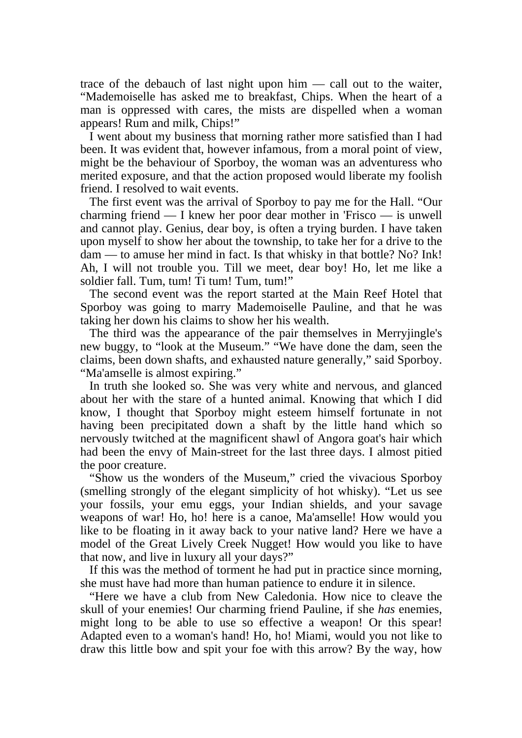trace of the debauch of last night upon him — call out to the waiter, "Mademoiselle has asked me to breakfast, Chips. When the heart of a man is oppressed with cares, the mists are dispelled when a woman appears! Rum and milk, Chips!"

 I went about my business that morning rather more satisfied than I had been. It was evident that, however infamous, from a moral point of view, might be the behaviour of Sporboy, the woman was an adventuress who merited exposure, and that the action proposed would liberate my foolish friend. I resolved to wait events.

 The first event was the arrival of Sporboy to pay me for the Hall. "Our charming friend — I knew her poor dear mother in 'Frisco — is unwell and cannot play. Genius, dear boy, is often a trying burden. I have taken upon myself to show her about the township, to take her for a drive to the dam — to amuse her mind in fact. Is that whisky in that bottle? No? Ink! Ah, I will not trouble you. Till we meet, dear boy! Ho, let me like a soldier fall. Tum, tum! Ti tum! Tum, tum!"

 The second event was the report started at the Main Reef Hotel that Sporboy was going to marry Mademoiselle Pauline, and that he was taking her down his claims to show her his wealth.

 The third was the appearance of the pair themselves in Merryjingle's new buggy, to "look at the Museum." "We have done the dam, seen the claims, been down shafts, and exhausted nature generally," said Sporboy. "Ma'amselle is almost expiring."

 In truth she looked so. She was very white and nervous, and glanced about her with the stare of a hunted animal. Knowing that which I did know, I thought that Sporboy might esteem himself fortunate in not having been precipitated down a shaft by the little hand which so nervously twitched at the magnificent shawl of Angora goat's hair which had been the envy of Main-street for the last three days. I almost pitied the poor creature.

 "Show us the wonders of the Museum," cried the vivacious Sporboy (smelling strongly of the elegant simplicity of hot whisky). "Let us see your fossils, your emu eggs, your Indian shields, and your savage weapons of war! Ho, ho! here is a canoe, Ma'amselle! How would you like to be floating in it away back to your native land? Here we have a model of the Great Lively Creek Nugget! How would you like to have that now, and live in luxury all your days?"

 If this was the method of torment he had put in practice since morning, she must have had more than human patience to endure it in silence.

 "Here we have a club from New Caledonia. How nice to cleave the skull of your enemies! Our charming friend Pauline, if she *has* enemies, might long to be able to use so effective a weapon! Or this spear! Adapted even to a woman's hand! Ho, ho! Miami, would you not like to draw this little bow and spit your foe with this arrow? By the way, how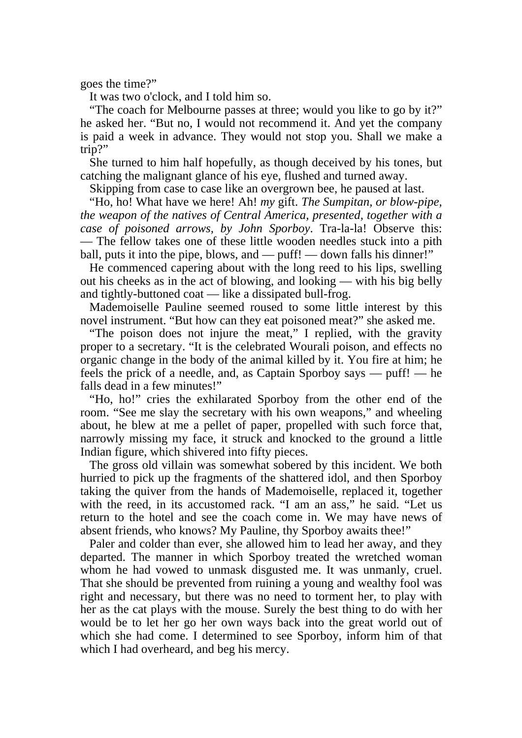goes the time?"

It was two o'clock, and I told him so.

 "The coach for Melbourne passes at three; would you like to go by it?" he asked her. "But no, I would not recommend it. And yet the company is paid a week in advance. They would not stop you. Shall we make a trin?"

 She turned to him half hopefully, as though deceived by his tones, but catching the malignant glance of his eye, flushed and turned away.

Skipping from case to case like an overgrown bee, he paused at last.

 "Ho, ho! What have we here! Ah! *my* gift. *The Sumpitan, or blow-pipe, the weapon of the natives of Central America, presented, together with a case of poisoned arrows, by John Sporboy*. Tra-la-la! Observe this: — The fellow takes one of these little wooden needles stuck into a pith ball, puts it into the pipe, blows, and — puff! — down falls his dinner!"

 He commenced capering about with the long reed to his lips, swelling out his cheeks as in the act of blowing, and looking — with his big belly and tightly-buttoned coat — like a dissipated bull-frog.

 Mademoiselle Pauline seemed roused to some little interest by this novel instrument. "But how can they eat poisoned meat?" she asked me.

 "The poison does not injure the meat," I replied, with the gravity proper to a secretary. "It is the celebrated Wourali poison, and effects no organic change in the body of the animal killed by it. You fire at him; he feels the prick of a needle, and, as Captain Sporboy says — puff! — he falls dead in a few minutes!"

 "Ho, ho!" cries the exhilarated Sporboy from the other end of the room. "See me slay the secretary with his own weapons," and wheeling about, he blew at me a pellet of paper, propelled with such force that, narrowly missing my face, it struck and knocked to the ground a little Indian figure, which shivered into fifty pieces.

 The gross old villain was somewhat sobered by this incident. We both hurried to pick up the fragments of the shattered idol, and then Sporboy taking the quiver from the hands of Mademoiselle, replaced it, together with the reed, in its accustomed rack. "I am an ass," he said. "Let us return to the hotel and see the coach come in. We may have news of absent friends, who knows? My Pauline, thy Sporboy awaits thee!"

 Paler and colder than ever, she allowed him to lead her away, and they departed. The manner in which Sporboy treated the wretched woman whom he had vowed to unmask disgusted me. It was unmanly, cruel. That she should be prevented from ruining a young and wealthy fool was right and necessary, but there was no need to torment her, to play with her as the cat plays with the mouse. Surely the best thing to do with her would be to let her go her own ways back into the great world out of which she had come. I determined to see Sporboy, inform him of that which I had overheard, and beg his mercy.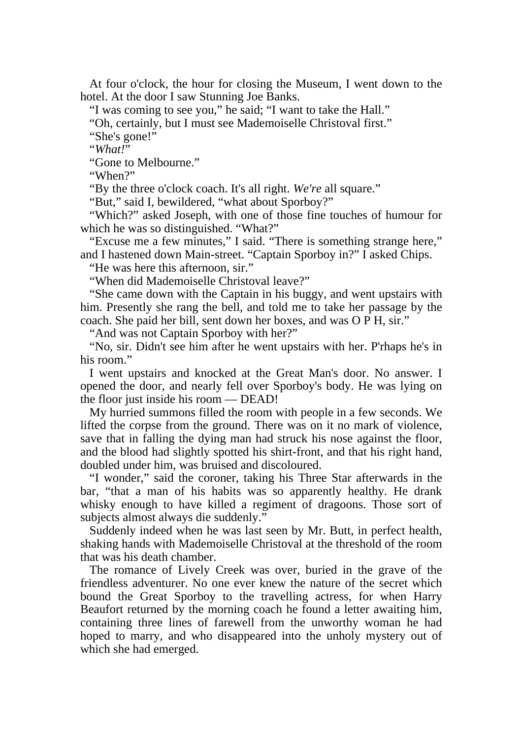At four o'clock, the hour for closing the Museum, I went down to the hotel. At the door I saw Stunning Joe Banks.

"I was coming to see you," he said; "I want to take the Hall."

"Oh, certainly, but I must see Mademoiselle Christoval first."

"She's gone!"

"*What!*"

"Gone to Melbourne."

"When?"

"By the three o'clock coach. It's all right. *We're* all square."

"But," said I, bewildered, "what about Sporboy?"

 "Which?" asked Joseph, with one of those fine touches of humour for which he was so distinguished. "What?"

 "Excuse me a few minutes," I said. "There is something strange here," and I hastened down Main-street. "Captain Sporboy in?" I asked Chips.

"He was here this afternoon, sir."

"When did Mademoiselle Christoval leave?"

 "She came down with the Captain in his buggy, and went upstairs with him. Presently she rang the bell, and told me to take her passage by the coach. She paid her bill, sent down her boxes, and was O P H, sir."

"And was not Captain Sporboy with her?"

 "No, sir. Didn't see him after he went upstairs with her. P'rhaps he's in his room."

 I went upstairs and knocked at the Great Man's door. No answer. I opened the door, and nearly fell over Sporboy's body. He was lying on the floor just inside his room — DEAD!

 My hurried summons filled the room with people in a few seconds. We lifted the corpse from the ground. There was on it no mark of violence, save that in falling the dying man had struck his nose against the floor, and the blood had slightly spotted his shirt-front, and that his right hand, doubled under him, was bruised and discoloured.

 "I wonder," said the coroner, taking his Three Star afterwards in the bar, "that a man of his habits was so apparently healthy. He drank whisky enough to have killed a regiment of dragoons. Those sort of subjects almost always die suddenly."

 Suddenly indeed when he was last seen by Mr. Butt, in perfect health, shaking hands with Mademoiselle Christoval at the threshold of the room that was his death chamber.

 The romance of Lively Creek was over, buried in the grave of the friendless adventurer. No one ever knew the nature of the secret which bound the Great Sporboy to the travelling actress, for when Harry Beaufort returned by the morning coach he found a letter awaiting him, containing three lines of farewell from the unworthy woman he had hoped to marry, and who disappeared into the unholy mystery out of which she had emerged.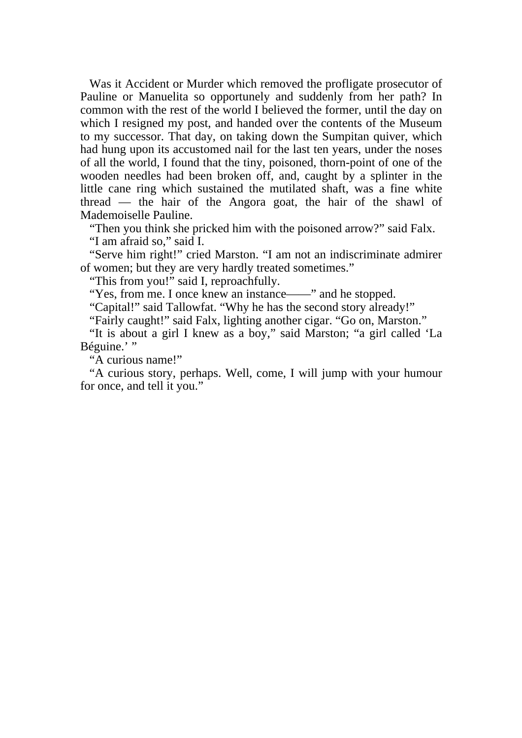Was it Accident or Murder which removed the profligate prosecutor of Pauline or Manuelita so opportunely and suddenly from her path? In common with the rest of the world I believed the former, until the day on which I resigned my post, and handed over the contents of the Museum to my successor. That day, on taking down the Sumpitan quiver, which had hung upon its accustomed nail for the last ten years, under the noses of all the world, I found that the tiny, poisoned, thorn-point of one of the wooden needles had been broken off, and, caught by a splinter in the little cane ring which sustained the mutilated shaft, was a fine white thread — the hair of the Angora goat, the hair of the shawl of Mademoiselle Pauline.

"Then you think she pricked him with the poisoned arrow?" said Falx.

"I am afraid so," said I.

 "Serve him right!" cried Marston. "I am not an indiscriminate admirer of women; but they are very hardly treated sometimes."

"This from you!" said I, reproachfully.

"Yes, from me. I once knew an instance——" and he stopped.

"Capital!" said Tallowfat. "Why he has the second story already!"

"Fairly caught!" said Falx, lighting another cigar. "Go on, Marston."

 "It is about a girl I knew as a boy," said Marston; "a girl called 'La Béguine.'"

"A curious name!"

 "A curious story, perhaps. Well, come, I will jump with your humour for once, and tell it you."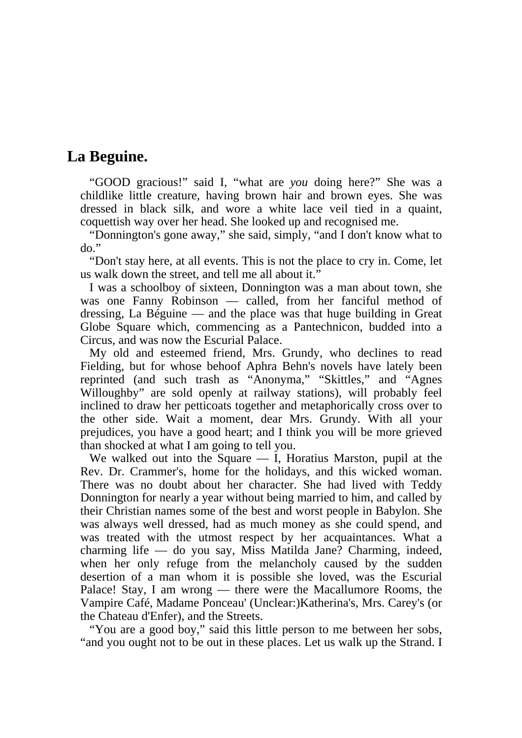## **La Beguine.**

 "GOOD gracious!" said I, "what are *you* doing here?" She was a childlike little creature, having brown hair and brown eyes. She was dressed in black silk, and wore a white lace veil tied in a quaint, coquettish way over her head. She looked up and recognised me.

 "Donnington's gone away," she said, simply, "and I don't know what to do."

 "Don't stay here, at all events. This is not the place to cry in. Come, let us walk down the street, and tell me all about it."

 I was a schoolboy of sixteen, Donnington was a man about town, she was one Fanny Robinson — called, from her fanciful method of dressing, La Béguine — and the place was that huge building in Great Globe Square which, commencing as a Pantechnicon, budded into a Circus, and was now the Escurial Palace.

 My old and esteemed friend, Mrs. Grundy, who declines to read Fielding, but for whose behoof Aphra Behn's novels have lately been reprinted (and such trash as "Anonyma," "Skittles," and "Agnes Willoughby" are sold openly at railway stations), will probably feel inclined to draw her petticoats together and metaphorically cross over to the other side. Wait a moment, dear Mrs. Grundy. With all your prejudices, you have a good heart; and I think you will be more grieved than shocked at what I am going to tell you.

 We walked out into the Square — I, Horatius Marston, pupil at the Rev. Dr. Crammer's, home for the holidays, and this wicked woman. There was no doubt about her character. She had lived with Teddy Donnington for nearly a year without being married to him, and called by their Christian names some of the best and worst people in Babylon. She was always well dressed, had as much money as she could spend, and was treated with the utmost respect by her acquaintances. What a charming life — do you say, Miss Matilda Jane? Charming, indeed, when her only refuge from the melancholy caused by the sudden desertion of a man whom it is possible she loved, was the Escurial Palace! Stay, I am wrong — there were the Macallumore Rooms, the Vampire Café, Madame Ponceau' (Unclear:)Katherina's, Mrs. Carey's (or the Chateau d'Enfer), and the Streets.

 "You are a good boy," said this little person to me between her sobs, "and you ought not to be out in these places. Let us walk up the Strand. I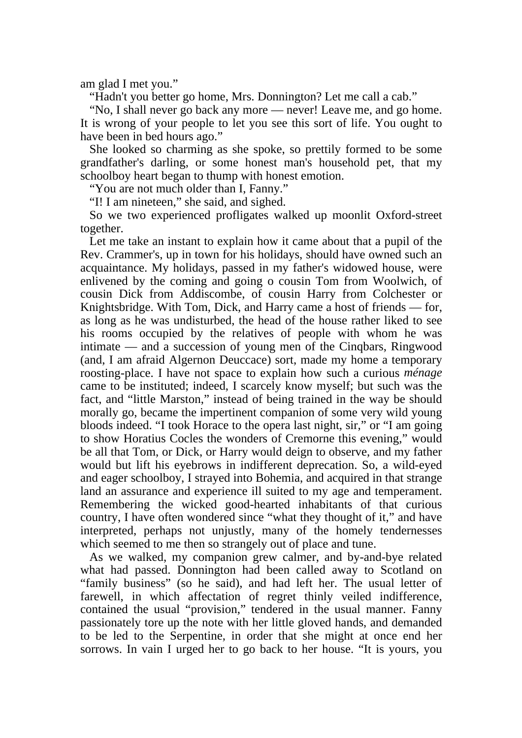am glad I met you."

"Hadn't you better go home, Mrs. Donnington? Let me call a cab."

 "No, I shall never go back any more — never! Leave me, and go home. It is wrong of your people to let you see this sort of life. You ought to have been in bed hours ago."

 She looked so charming as she spoke, so prettily formed to be some grandfather's darling, or some honest man's household pet, that my schoolboy heart began to thump with honest emotion.

"You are not much older than I, Fanny."

"I! I am nineteen," she said, and sighed.

 So we two experienced profligates walked up moonlit Oxford-street together.

 Let me take an instant to explain how it came about that a pupil of the Rev. Crammer's, up in town for his holidays, should have owned such an acquaintance. My holidays, passed in my father's widowed house, were enlivened by the coming and going o cousin Tom from Woolwich, of cousin Dick from Addiscombe, of cousin Harry from Colchester or Knightsbridge. With Tom, Dick, and Harry came a host of friends — for, as long as he was undisturbed, the head of the house rather liked to see his rooms occupied by the relatives of people with whom he was intimate — and a succession of young men of the Cinqbars, Ringwood (and, I am afraid Algernon Deuccace) sort, made my home a temporary roosting-place. I have not space to explain how such a curious *ménage* came to be instituted; indeed, I scarcely know myself; but such was the fact, and "little Marston," instead of being trained in the way be should morally go, became the impertinent companion of some very wild young bloods indeed. "I took Horace to the opera last night, sir," or "I am going to show Horatius Cocles the wonders of Cremorne this evening," would be all that Tom, or Dick, or Harry would deign to observe, and my father would but lift his eyebrows in indifferent deprecation. So, a wild-eyed and eager schoolboy, I strayed into Bohemia, and acquired in that strange land an assurance and experience ill suited to my age and temperament. Remembering the wicked good-hearted inhabitants of that curious country, I have often wondered since "what they thought of it," and have interpreted, perhaps not unjustly, many of the homely tendernesses which seemed to me then so strangely out of place and tune.

 As we walked, my companion grew calmer, and by-and-bye related what had passed. Donnington had been called away to Scotland on "family business" (so he said), and had left her. The usual letter of farewell, in which affectation of regret thinly veiled indifference, contained the usual "provision," tendered in the usual manner. Fanny passionately tore up the note with her little gloved hands, and demanded to be led to the Serpentine, in order that she might at once end her sorrows. In vain I urged her to go back to her house. "It is yours, you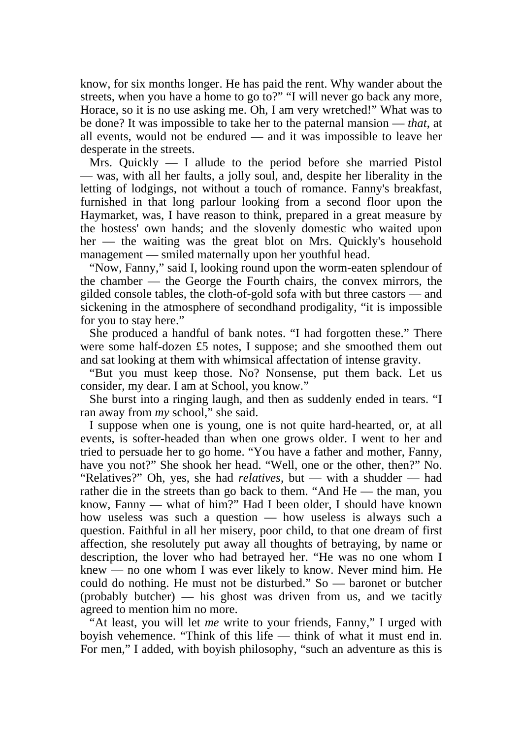know, for six months longer. He has paid the rent. Why wander about the streets, when you have a home to go to?" "I will never go back any more, Horace, so it is no use asking me. Oh, I am very wretched!" What was to be done? It was impossible to take her to the paternal mansion — *that*, at all events, would not be endured — and it was impossible to leave her desperate in the streets.

 Mrs. Quickly — I allude to the period before she married Pistol — was, with all her faults, a jolly soul, and, despite her liberality in the letting of lodgings, not without a touch of romance. Fanny's breakfast, furnished in that long parlour looking from a second floor upon the Haymarket, was, I have reason to think, prepared in a great measure by the hostess' own hands; and the slovenly domestic who waited upon her — the waiting was the great blot on Mrs. Quickly's household management — smiled maternally upon her youthful head.

 "Now, Fanny," said I, looking round upon the worm-eaten splendour of the chamber — the George the Fourth chairs, the convex mirrors, the gilded console tables, the cloth-of-gold sofa with but three castors — and sickening in the atmosphere of secondhand prodigality, "it is impossible for you to stay here."

 She produced a handful of bank notes. "I had forgotten these." There were some half-dozen £5 notes, I suppose; and she smoothed them out and sat looking at them with whimsical affectation of intense gravity.

 "But you must keep those. No? Nonsense, put them back. Let us consider, my dear. I am at School, you know."

 She burst into a ringing laugh, and then as suddenly ended in tears. "I ran away from *my* school," she said.

 I suppose when one is young, one is not quite hard-hearted, or, at all events, is softer-headed than when one grows older. I went to her and tried to persuade her to go home. "You have a father and mother, Fanny, have you not?" She shook her head. "Well, one or the other, then?" No. "Relatives?" Oh, yes, she had *relatives*, but — with a shudder — had rather die in the streets than go back to them. "And He — the man, you know, Fanny — what of him?" Had I been older, I should have known how useless was such a question — how useless is always such a question. Faithful in all her misery, poor child, to that one dream of first affection, she resolutely put away all thoughts of betraying, by name or description, the lover who had betrayed her. "He was no one whom I knew — no one whom I was ever likely to know. Never mind him. He could do nothing. He must not be disturbed." So — baronet or butcher (probably butcher) — his ghost was driven from us, and we tacitly agreed to mention him no more.

 "At least, you will let *me* write to your friends, Fanny," I urged with boyish vehemence. "Think of this life — think of what it must end in. For men," I added, with boyish philosophy, "such an adventure as this is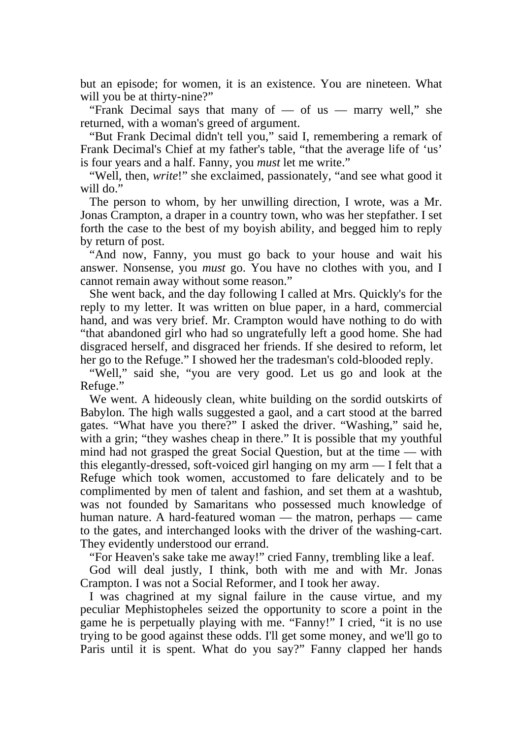but an episode; for women, it is an existence. You are nineteen. What will you be at thirty-nine?"

 "Frank Decimal says that many of — of us — marry well," she returned, with a woman's greed of argument.

 "But Frank Decimal didn't tell you," said I, remembering a remark of Frank Decimal's Chief at my father's table, "that the average life of 'us' is four years and a half. Fanny, you *must* let me write."

 "Well, then, *write*!" she exclaimed, passionately, "and see what good it will do."

 The person to whom, by her unwilling direction, I wrote, was a Mr. Jonas Crampton, a draper in a country town, who was her stepfather. I set forth the case to the best of my boyish ability, and begged him to reply by return of post.

 "And now, Fanny, you must go back to your house and wait his answer. Nonsense, you *must* go. You have no clothes with you, and I cannot remain away without some reason."

 She went back, and the day following I called at Mrs. Quickly's for the reply to my letter. It was written on blue paper, in a hard, commercial hand, and was very brief. Mr. Crampton would have nothing to do with "that abandoned girl who had so ungratefully left a good home. She had disgraced herself, and disgraced her friends. If she desired to reform, let her go to the Refuge." I showed her the tradesman's cold-blooded reply.

 "Well," said she, "you are very good. Let us go and look at the Refuge."

 We went. A hideously clean, white building on the sordid outskirts of Babylon. The high walls suggested a gaol, and a cart stood at the barred gates. "What have you there?" I asked the driver. "Washing," said he, with a grin; "they washes cheap in there." It is possible that my youthful mind had not grasped the great Social Question, but at the time — with this elegantly-dressed, soft-voiced girl hanging on my arm — I felt that a Refuge which took women, accustomed to fare delicately and to be complimented by men of talent and fashion, and set them at a washtub, was not founded by Samaritans who possessed much knowledge of human nature. A hard-featured woman — the matron, perhaps — came to the gates, and interchanged looks with the driver of the washing-cart. They evidently understood our errand.

"For Heaven's sake take me away!" cried Fanny, trembling like a leaf.

 God will deal justly, I think, both with me and with Mr. Jonas Crampton. I was not a Social Reformer, and I took her away.

 I was chagrined at my signal failure in the cause virtue, and my peculiar Mephistopheles seized the opportunity to score a point in the game he is perpetually playing with me. "Fanny!" I cried, "it is no use trying to be good against these odds. I'll get some money, and we'll go to Paris until it is spent. What do you say?" Fanny clapped her hands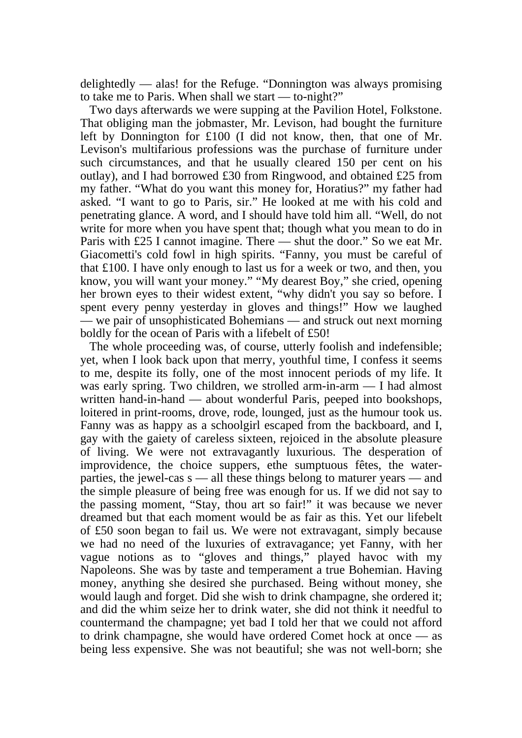delightedly — alas! for the Refuge. "Donnington was always promising to take me to Paris. When shall we start — to-night?"

 Two days afterwards we were supping at the Pavilion Hotel, Folkstone. That obliging man the jobmaster, Mr. Levison, had bought the furniture left by Donnington for £100 (I did not know, then, that one of Mr. Levison's multifarious professions was the purchase of furniture under such circumstances, and that he usually cleared 150 per cent on his outlay), and I had borrowed £30 from Ringwood, and obtained £25 from my father. "What do you want this money for, Horatius?" my father had asked. "I want to go to Paris, sir." He looked at me with his cold and penetrating glance. A word, and I should have told him all. "Well, do not write for more when you have spent that; though what you mean to do in Paris with £25 I cannot imagine. There — shut the door." So we eat Mr. Giacometti's cold fowl in high spirits. "Fanny, you must be careful of that £100. I have only enough to last us for a week or two, and then, you know, you will want your money." "My dearest Boy," she cried, opening her brown eyes to their widest extent, "why didn't you say so before. I spent every penny yesterday in gloves and things!" How we laughed — we pair of unsophisticated Bohemians — and struck out next morning boldly for the ocean of Paris with a lifebelt of £50!

 The whole proceeding was, of course, utterly foolish and indefensible; yet, when I look back upon that merry, youthful time, I confess it seems to me, despite its folly, one of the most innocent periods of my life. It was early spring. Two children, we strolled arm-in-arm — I had almost written hand-in-hand — about wonderful Paris, peeped into bookshops, loitered in print-rooms, drove, rode, lounged, just as the humour took us. Fanny was as happy as a schoolgirl escaped from the backboard, and I, gay with the gaiety of careless sixteen, rejoiced in the absolute pleasure of living. We were not extravagantly luxurious. The desperation of improvidence, the choice suppers, ethe sumptuous fêtes, the waterparties, the jewel-cas s — all these things belong to maturer years — and the simple pleasure of being free was enough for us. If we did not say to the passing moment, "Stay, thou art so fair!" it was because we never dreamed but that each moment would be as fair as this. Yet our lifebelt of £50 soon began to fail us. We were not extravagant, simply because we had no need of the luxuries of extravagance; yet Fanny, with her vague notions as to "gloves and things," played havoc with my Napoleons. She was by taste and temperament a true Bohemian. Having money, anything she desired she purchased. Being without money, she would laugh and forget. Did she wish to drink champagne, she ordered it; and did the whim seize her to drink water, she did not think it needful to countermand the champagne; yet bad I told her that we could not afford to drink champagne, she would have ordered Comet hock at once — as being less expensive. She was not beautiful; she was not well-born; she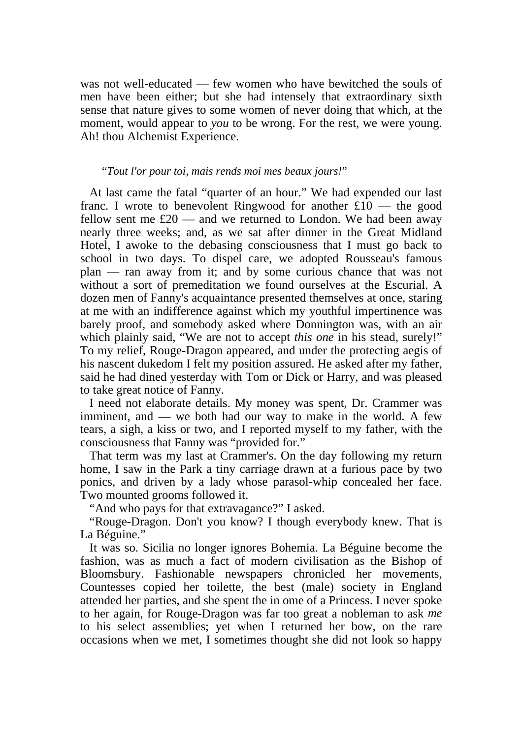was not well-educated — few women who have bewitched the souls of men have been either; but she had intensely that extraordinary sixth sense that nature gives to some women of never doing that which, at the moment, would appear to *you* to be wrong. For the rest, we were young. Ah! thou Alchemist Experience.

#### "*Tout l'or pour toi, mais rends moi mes beaux jours!*"

 At last came the fatal "quarter of an hour." We had expended our last franc. I wrote to benevolent Ringwood for another £10 — the good fellow sent me  $£20$  — and we returned to London. We had been away nearly three weeks; and, as we sat after dinner in the Great Midland Hotel, I awoke to the debasing consciousness that I must go back to school in two days. To dispel care, we adopted Rousseau's famous plan — ran away from it; and by some curious chance that was not without a sort of premeditation we found ourselves at the Escurial. A dozen men of Fanny's acquaintance presented themselves at once, staring at me with an indifference against which my youthful impertinence was barely proof, and somebody asked where Donnington was, with an air which plainly said, "We are not to accept *this one* in his stead, surely!" To my relief, Rouge-Dragon appeared, and under the protecting aegis of his nascent dukedom I felt my position assured. He asked after my father, said he had dined yesterday with Tom or Dick or Harry, and was pleased to take great notice of Fanny.

 I need not elaborate details. My money was spent, Dr. Crammer was imminent, and — we both had our way to make in the world. A few tears, a sigh, a kiss or two, and I reported myself to my father, with the consciousness that Fanny was "provided for."

 That term was my last at Crammer's. On the day following my return home, I saw in the Park a tiny carriage drawn at a furious pace by two ponics, and driven by a lady whose parasol-whip concealed her face. Two mounted grooms followed it.

"And who pays for that extravagance?" I asked.

 "Rouge-Dragon. Don't you know? I though everybody knew. That is La Béguine."

 It was so. Sicilia no longer ignores Bohemia. La Béguine become the fashion, was as much a fact of modern civilisation as the Bishop of Bloomsbury. Fashionable newspapers chronicled her movements, Countesses copied her toilette, the best (male) society in England attended her parties, and she spent the in ome of a Princess. I never spoke to her again, for Rouge-Dragon was far too great a nobleman to ask *me* to his select assemblies; yet when I returned her bow, on the rare occasions when we met, I sometimes thought she did not look so happy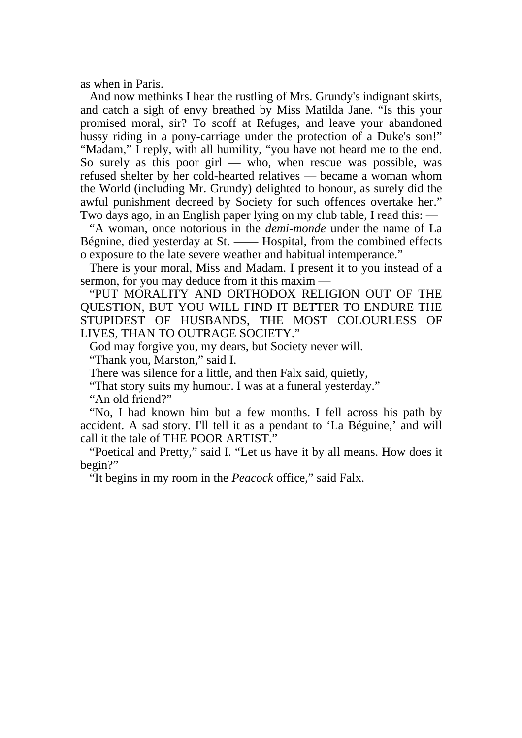as when in Paris.

 And now methinks I hear the rustling of Mrs. Grundy's indignant skirts, and catch a sigh of envy breathed by Miss Matilda Jane. "Is this your promised moral, sir? To scoff at Refuges, and leave your abandoned hussy riding in a pony-carriage under the protection of a Duke's son!" "Madam," I reply, with all humility, "you have not heard me to the end. So surely as this poor girl — who, when rescue was possible, was refused shelter by her cold-hearted relatives — became a woman whom the World (including Mr. Grundy) delighted to honour, as surely did the awful punishment decreed by Society for such offences overtake her." Two days ago, in an English paper lying on my club table, I read this: —

 "A woman, once notorious in the *demi-monde* under the name of La Bégnine, died yesterday at St. —— Hospital, from the combined effects o exposure to the late severe weather and habitual intemperance."

 There is your moral, Miss and Madam. I present it to you instead of a sermon, for you may deduce from it this maxim —

 "PUT MORALITY AND ORTHODOX RELIGION OUT OF THE QUESTION, BUT YOU WILL FIND IT BETTER TO ENDURE THE STUPIDEST OF HUSBANDS, THE MOST COLOURLESS OF LIVES, THAN TO OUTRAGE SOCIETY."

God may forgive you, my dears, but Society never will.

"Thank you, Marston," said I.

There was silence for a little, and then Falx said, quietly,

"That story suits my humour. I was at a funeral yesterday."

"An old friend?"

 "No, I had known him but a few months. I fell across his path by accident. A sad story. I'll tell it as a pendant to 'La Béguine,' and will call it the tale of THE POOR ARTIST."

 "Poetical and Pretty," said I. "Let us have it by all means. How does it begin?"

"It begins in my room in the *Peacock* office," said Falx.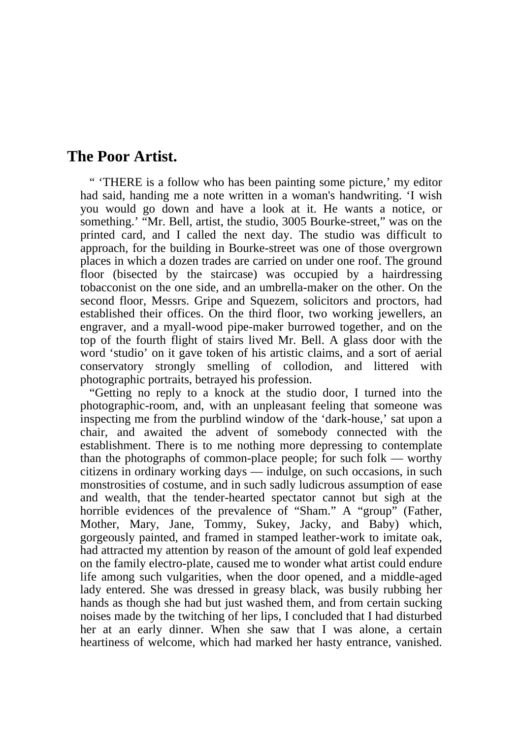## **The Poor Artist.**

 " 'THERE is a follow who has been painting some picture,' my editor had said, handing me a note written in a woman's handwriting. 'I wish you would go down and have a look at it. He wants a notice, or something.' "Mr. Bell, artist, the studio, 3005 Bourke-street," was on the printed card, and I called the next day. The studio was difficult to approach, for the building in Bourke-street was one of those overgrown places in which a dozen trades are carried on under one roof. The ground floor (bisected by the staircase) was occupied by a hairdressing tobacconist on the one side, and an umbrella-maker on the other. On the second floor, Messrs. Gripe and Squezem, solicitors and proctors, had established their offices. On the third floor, two working jewellers, an engraver, and a myall-wood pipe-maker burrowed together, and on the top of the fourth flight of stairs lived Mr. Bell. A glass door with the word 'studio' on it gave token of his artistic claims, and a sort of aerial conservatory strongly smelling of collodion, and littered with photographic portraits, betrayed his profession.

 "Getting no reply to a knock at the studio door, I turned into the photographic-room, and, with an unpleasant feeling that someone was inspecting me from the purblind window of the 'dark-house,' sat upon a chair, and awaited the advent of somebody connected with the establishment. There is to me nothing more depressing to contemplate than the photographs of common-place people; for such folk — worthy citizens in ordinary working days — indulge, on such occasions, in such monstrosities of costume, and in such sadly ludicrous assumption of ease and wealth, that the tender-hearted spectator cannot but sigh at the horrible evidences of the prevalence of "Sham." A "group" (Father, Mother, Mary, Jane, Tommy, Sukey, Jacky, and Baby) which, gorgeously painted, and framed in stamped leather-work to imitate oak, had attracted my attention by reason of the amount of gold leaf expended on the family electro-plate, caused me to wonder what artist could endure life among such vulgarities, when the door opened, and a middle-aged lady entered. She was dressed in greasy black, was busily rubbing her hands as though she had but just washed them, and from certain sucking noises made by the twitching of her lips, I concluded that I had disturbed her at an early dinner. When she saw that I was alone, a certain heartiness of welcome, which had marked her hasty entrance, vanished.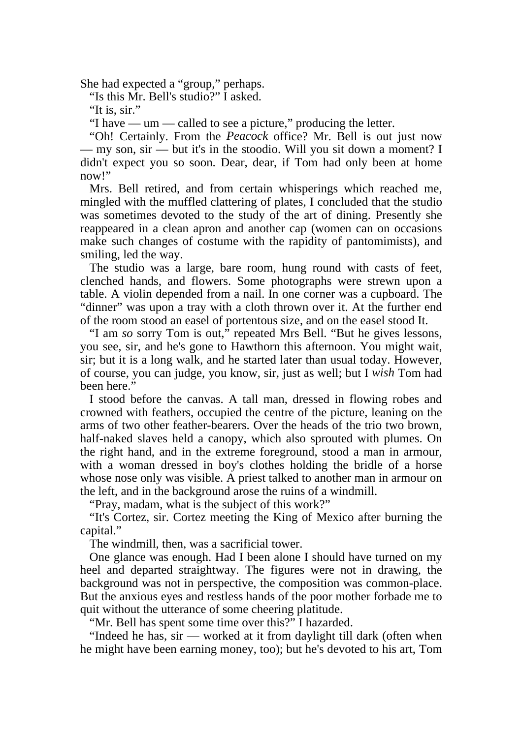She had expected a "group," perhaps.

"Is this Mr. Bell's studio?" I asked.

"It is, sir."

"I have — um — called to see a picture," producing the letter.

 "Oh! Certainly. From the *Peacock* office? Mr. Bell is out just now — my son, sir — but it's in the stoodio. Will you sit down a moment? I didn't expect you so soon. Dear, dear, if Tom had only been at home now!"

 Mrs. Bell retired, and from certain whisperings which reached me, mingled with the muffled clattering of plates, I concluded that the studio was sometimes devoted to the study of the art of dining. Presently she reappeared in a clean apron and another cap (women can on occasions make such changes of costume with the rapidity of pantomimists), and smiling, led the way.

 The studio was a large, bare room, hung round with casts of feet, clenched hands, and flowers. Some photographs were strewn upon a table. A violin depended from a nail. In one corner was a cupboard. The "dinner" was upon a tray with a cloth thrown over it. At the further end of the room stood an easel of portentous size, and on the easel stood It.

 "I am *so* sorry Tom is out," repeated Mrs Bell. "But he gives lessons, you see, sir, and he's gone to Hawthorn this afternoon. You might wait, sir; but it is a long walk, and he started later than usual today. However, of course, you can judge, you know, sir, just as well; but I *wish* Tom had been here."

 I stood before the canvas. A tall man, dressed in flowing robes and crowned with feathers, occupied the centre of the picture, leaning on the arms of two other feather-bearers. Over the heads of the trio two brown, half-naked slaves held a canopy, which also sprouted with plumes. On the right hand, and in the extreme foreground, stood a man in armour, with a woman dressed in boy's clothes holding the bridle of a horse whose nose only was visible. A priest talked to another man in armour on the left, and in the background arose the ruins of a windmill.

"Pray, madam, what is the subject of this work?"

 "It's Cortez, sir. Cortez meeting the King of Mexico after burning the capital."

The windmill, then, was a sacrificial tower.

 One glance was enough. Had I been alone I should have turned on my heel and departed straightway. The figures were not in drawing, the background was not in perspective, the composition was common-place. But the anxious eyes and restless hands of the poor mother forbade me to quit without the utterance of some cheering platitude.

"Mr. Bell has spent some time over this?" I hazarded.

 "Indeed he has, sir — worked at it from daylight till dark (often when he might have been earning money, too); but he's devoted to his art, Tom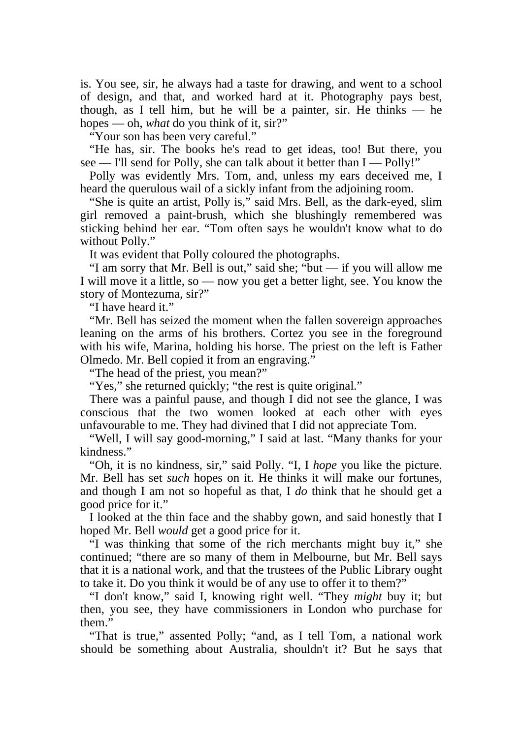is. You see, sir, he always had a taste for drawing, and went to a school of design, and that, and worked hard at it. Photography pays best, though, as I tell him, but he will be a painter, sir. He thinks — he hopes — oh, *what* do you think of it, sir?"

"Your son has been very careful."

 "He has, sir. The books he's read to get ideas, too! But there, you see — I'll send for Polly, she can talk about it better than I — Polly!"

 Polly was evidently Mrs. Tom, and, unless my ears deceived me, I heard the querulous wail of a sickly infant from the adjoining room.

 "She is quite an artist, Polly is," said Mrs. Bell, as the dark-eyed, slim girl removed a paint-brush, which she blushingly remembered was sticking behind her ear. "Tom often says he wouldn't know what to do without Polly."

It was evident that Polly coloured the photographs.

 "I am sorry that Mr. Bell is out," said she; "but — if you will allow me I will move it a little, so — now you get a better light, see. You know the story of Montezuma, sir?"

"I have heard it."

 "Mr. Bell has seized the moment when the fallen sovereign approaches leaning on the arms of his brothers. Cortez you see in the foreground with his wife, Marina, holding his horse. The priest on the left is Father Olmedo. Mr. Bell copied it from an engraving."

"The head of the priest, you mean?"

"Yes," she returned quickly; "the rest is quite original."

 There was a painful pause, and though I did not see the glance, I was conscious that the two women looked at each other with eyes unfavourable to me. They had divined that I did not appreciate Tom.

 "Well, I will say good-morning," I said at last. "Many thanks for your kindness."

 "Oh, it is no kindness, sir," said Polly. "I, I *hope* you like the picture. Mr. Bell has set *such* hopes on it. He thinks it will make our fortunes, and though I am not so hopeful as that, I *do* think that he should get a good price for it."

 I looked at the thin face and the shabby gown, and said honestly that I hoped Mr. Bell *would* get a good price for it.

 "I was thinking that some of the rich merchants might buy it," she continued; "there are so many of them in Melbourne, but Mr. Bell says that it is a national work, and that the trustees of the Public Library ought to take it. Do you think it would be of any use to offer it to them?"

 "I don't know," said I, knowing right well. "They *might* buy it; but then, you see, they have commissioners in London who purchase for them."

 "That is true," assented Polly; "and, as I tell Tom, a national work should be something about Australia, shouldn't it? But he says that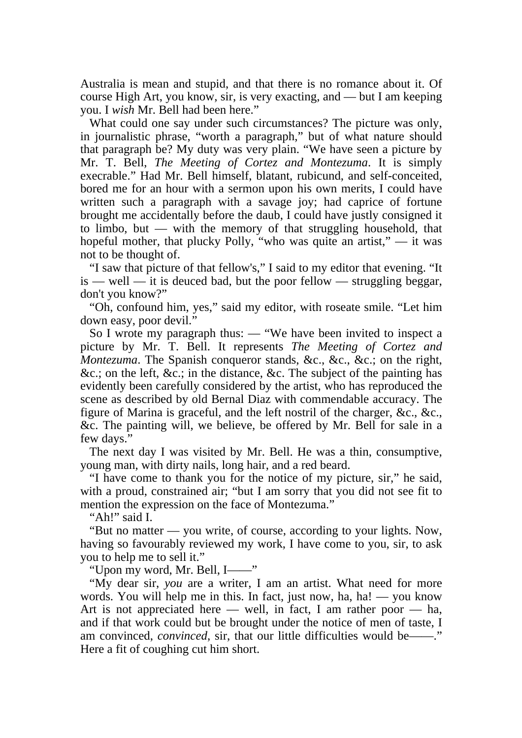Australia is mean and stupid, and that there is no romance about it. Of course High Art, you know, sir, is very exacting, and — but I am keeping you. I *wish* Mr. Bell had been here."

 What could one say under such circumstances? The picture was only, in journalistic phrase, "worth a paragraph," but of what nature should that paragraph be? My duty was very plain. "We have seen a picture by Mr. T. Bell, *The Meeting of Cortez and Montezuma*. It is simply execrable." Had Mr. Bell himself, blatant, rubicund, and self-conceited, bored me for an hour with a sermon upon his own merits, I could have written such a paragraph with a savage joy; had caprice of fortune brought me accidentally before the daub, I could have justly consigned it to limbo, but — with the memory of that struggling household, that hopeful mother, that plucky Polly, "who was quite an artist," — it was not to be thought of.

 "I saw that picture of that fellow's," I said to my editor that evening. "It  $is$  — well — it is deuced bad, but the poor fellow — struggling beggar, don't you know?"

 "Oh, confound him, yes," said my editor, with roseate smile. "Let him down easy, poor devil."

 So I wrote my paragraph thus: — "We have been invited to inspect a picture by Mr. T. Bell. It represents *The Meeting of Cortez and Montezuma*. The Spanish conqueror stands, &c., &c., &c.; on the right, &c.; on the left, &c.; in the distance, &c. The subject of the painting has evidently been carefully considered by the artist, who has reproduced the scene as described by old Bernal Diaz with commendable accuracy. The figure of Marina is graceful, and the left nostril of the charger, &c., &c., &c. The painting will, we believe, be offered by Mr. Bell for sale in a few days."

 The next day I was visited by Mr. Bell. He was a thin, consumptive, young man, with dirty nails, long hair, and a red beard.

 "I have come to thank you for the notice of my picture, sir," he said, with a proud, constrained air; "but I am sorry that you did not see fit to mention the expression on the face of Montezuma."

"Ah!" said I.

 "But no matter — you write, of course, according to your lights. Now, having so favourably reviewed my work, I have come to you, sir, to ask you to help me to sell it."

"Upon my word, Mr. Bell, I——"

 "My dear sir, *you* are a writer, I am an artist. What need for more words. You will help me in this. In fact, just now, ha, ha! — you know Art is not appreciated here — well, in fact, I am rather poor — ha, and if that work could but be brought under the notice of men of taste, I am convinced, *convinced*, sir, that our little difficulties would be——." Here a fit of coughing cut him short.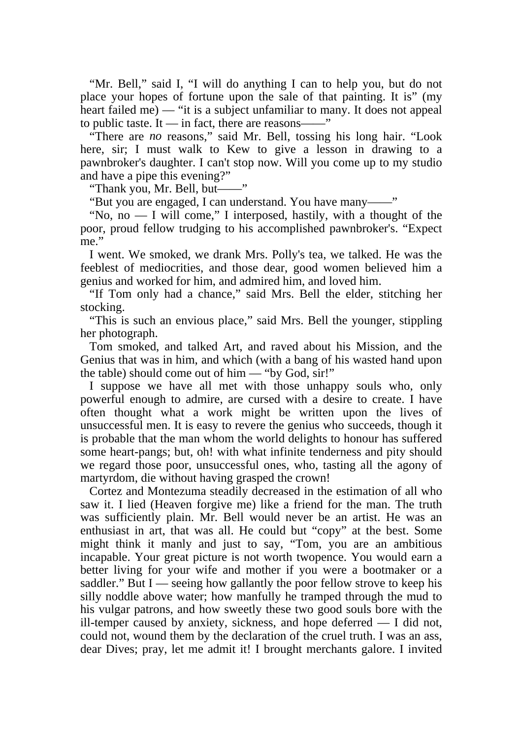"Mr. Bell," said I, "I will do anything I can to help you, but do not place your hopes of fortune upon the sale of that painting. It is" (my heart failed me) — "it is a subject unfamiliar to many. It does not appeal to public taste. It — in fact, there are reasons—— $"$ 

 "There are *no* reasons," said Mr. Bell, tossing his long hair. "Look here, sir; I must walk to Kew to give a lesson in drawing to a pawnbroker's daughter. I can't stop now. Will you come up to my studio and have a pipe this evening?"

"Thank you, Mr. Bell, but——"

"But you are engaged, I can understand. You have many——"

 "No, no — I will come," I interposed, hastily, with a thought of the poor, proud fellow trudging to his accomplished pawnbroker's. "Expect me."

 I went. We smoked, we drank Mrs. Polly's tea, we talked. He was the feeblest of mediocrities, and those dear, good women believed him a genius and worked for him, and admired him, and loved him.

 "If Tom only had a chance," said Mrs. Bell the elder, stitching her stocking.

 "This is such an envious place," said Mrs. Bell the younger, stippling her photograph.

 Tom smoked, and talked Art, and raved about his Mission, and the Genius that was in him, and which (with a bang of his wasted hand upon the table) should come out of him — "by God, sir!"

 I suppose we have all met with those unhappy souls who, only powerful enough to admire, are cursed with a desire to create. I have often thought what a work might be written upon the lives of unsuccessful men. It is easy to revere the genius who succeeds, though it is probable that the man whom the world delights to honour has suffered some heart-pangs; but, oh! with what infinite tenderness and pity should we regard those poor, unsuccessful ones, who, tasting all the agony of martyrdom, die without having grasped the crown!

 Cortez and Montezuma steadily decreased in the estimation of all who saw it. I lied (Heaven forgive me) like a friend for the man. The truth was sufficiently plain. Mr. Bell would never be an artist. He was an enthusiast in art, that was all. He could but "copy" at the best. Some might think it manly and just to say, "Tom, you are an ambitious incapable. Your great picture is not worth twopence. You would earn a better living for your wife and mother if you were a bootmaker or a saddler." But I — seeing how gallantly the poor fellow strove to keep his silly noddle above water; how manfully he tramped through the mud to his vulgar patrons, and how sweetly these two good souls bore with the ill-temper caused by anxiety, sickness, and hope deferred — I did not, could not, wound them by the declaration of the cruel truth. I was an ass, dear Dives; pray, let me admit it! I brought merchants galore. I invited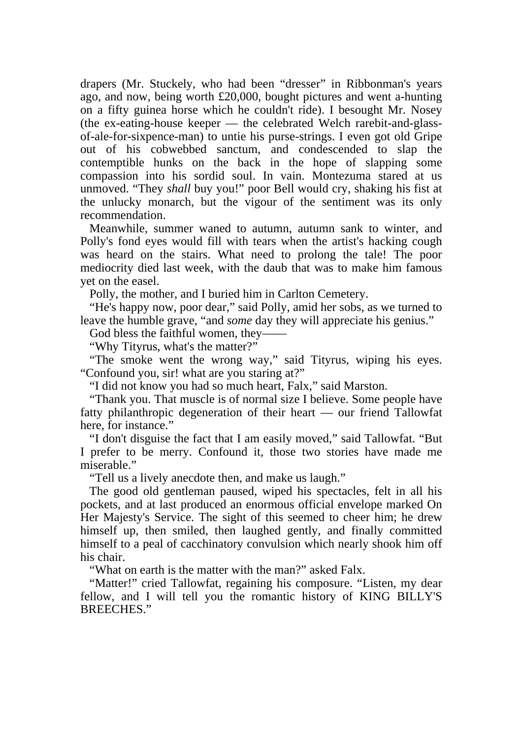drapers (Mr. Stuckely, who had been "dresser" in Ribbonman's years ago, and now, being worth £20,000, bought pictures and went a-hunting on a fifty guinea horse which he couldn't ride). I besought Mr. Nosey (the ex-eating-house keeper — the celebrated Welch rarebit-and-glassof-ale-for-sixpence-man) to untie his purse-strings. I even got old Gripe out of his cobwebbed sanctum, and condescended to slap the contemptible hunks on the back in the hope of slapping some compassion into his sordid soul. In vain. Montezuma stared at us unmoved. "They *shall* buy you!" poor Bell would cry, shaking his fist at the unlucky monarch, but the vigour of the sentiment was its only recommendation.

 Meanwhile, summer waned to autumn, autumn sank to winter, and Polly's fond eyes would fill with tears when the artist's hacking cough was heard on the stairs. What need to prolong the tale! The poor mediocrity died last week, with the daub that was to make him famous yet on the easel.

Polly, the mother, and I buried him in Carlton Cemetery.

 "He's happy now, poor dear," said Polly, amid her sobs, as we turned to leave the humble grave, "and *some* day they will appreciate his genius."

God bless the faithful women, they-

"Why Tityrus, what's the matter?"

 "The smoke went the wrong way," said Tityrus, wiping his eyes. "Confound you, sir! what are you staring at?"

"I did not know you had so much heart, Falx," said Marston.

 "Thank you. That muscle is of normal size I believe. Some people have fatty philanthropic degeneration of their heart — our friend Tallowfat here, for instance."

 "I don't disguise the fact that I am easily moved," said Tallowfat. "But I prefer to be merry. Confound it, those two stories have made me miserable."

"Tell us a lively anecdote then, and make us laugh."

 The good old gentleman paused, wiped his spectacles, felt in all his pockets, and at last produced an enormous official envelope marked On Her Majesty's Service. The sight of this seemed to cheer him; he drew himself up, then smiled, then laughed gently, and finally committed himself to a peal of cacchinatory convulsion which nearly shook him off his chair.

"What on earth is the matter with the man?" asked Falx.

 "Matter!" cried Tallowfat, regaining his composure. "Listen, my dear fellow, and I will tell you the romantic history of KING BILLY'S BREECHES."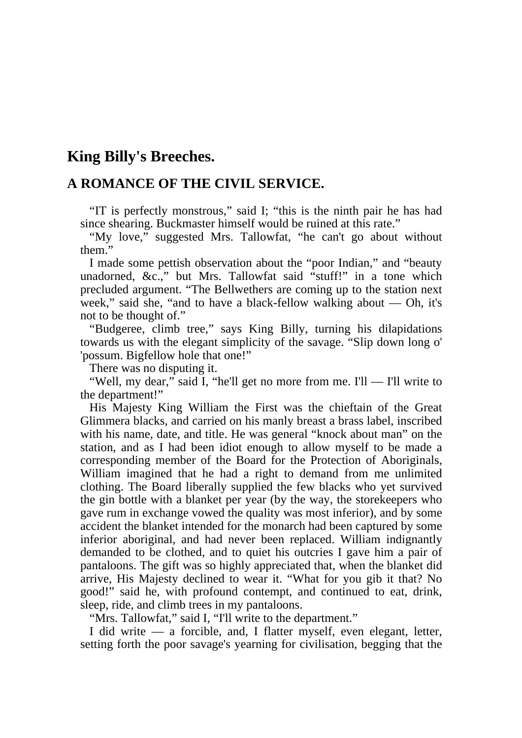### **King Billy's Breeches.**

### **A ROMANCE OF THE CIVIL SERVICE.**

 "IT is perfectly monstrous," said I; "this is the ninth pair he has had since shearing. Buckmaster himself would be ruined at this rate."

 "My love," suggested Mrs. Tallowfat, "he can't go about without them."

 I made some pettish observation about the "poor Indian," and "beauty unadorned, &c.," but Mrs. Tallowfat said "stuff!" in a tone which precluded argument. "The Bellwethers are coming up to the station next week," said she, "and to have a black-fellow walking about — Oh, it's not to be thought of."

 "Budgeree, climb tree," says King Billy, turning his dilapidations towards us with the elegant simplicity of the savage. "Slip down long o' 'possum. Bigfellow hole that one!"

There was no disputing it.

"Well, my dear," said I, "he'll get no more from me. I'll — I'll write to the department!"

 His Majesty King William the First was the chieftain of the Great Glimmera blacks, and carried on his manly breast a brass label, inscribed with his name, date, and title. He was general "knock about man" on the station, and as I had been idiot enough to allow myself to be made a corresponding member of the Board for the Protection of Aboriginals, William imagined that he had a right to demand from me unlimited clothing. The Board liberally supplied the few blacks who yet survived the gin bottle with a blanket per year (by the way, the storekeepers who gave rum in exchange vowed the quality was most inferior), and by some accident the blanket intended for the monarch had been captured by some inferior aboriginal, and had never been replaced. William indignantly demanded to be clothed, and to quiet his outcries I gave him a pair of pantaloons. The gift was so highly appreciated that, when the blanket did arrive, His Majesty declined to wear it. "What for you gib it that? No good!" said he, with profound contempt, and continued to eat, drink, sleep, ride, and climb trees in my pantaloons.

"Mrs. Tallowfat," said I, "I'll write to the department."

 I did write — a forcible, and, I flatter myself, even elegant, letter, setting forth the poor savage's yearning for civilisation, begging that the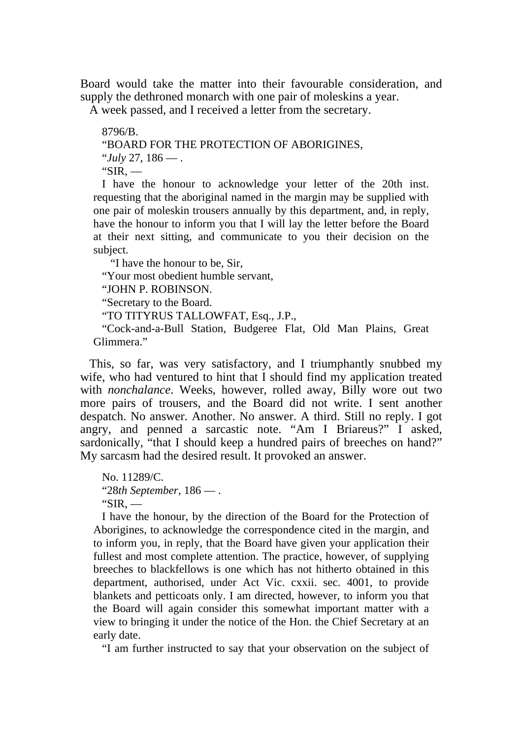Board would take the matter into their favourable consideration, and supply the dethroned monarch with one pair of moleskins a year.

A week passed, and I received a letter from the secretary.

 8796/B. "BOARD FOR THE PROTECTION OF ABORIGINES, " $Julv 27, 186$  — . " $SIR$ . —

 I have the honour to acknowledge your letter of the 20th inst. requesting that the aboriginal named in the margin may be supplied with one pair of moleskin trousers annually by this department, and, in reply, have the honour to inform you that I will lay the letter before the Board at their next sitting, and communicate to you their decision on the subject.

"I have the honour to be, Sir,

"Your most obedient humble servant,

"JOHN P. ROBINSON.

"Secretary to the Board.

"TO TITYRUS TALLOWFAT, Esq., J.P.,

 "Cock-and-a-Bull Station, Budgeree Flat, Old Man Plains, Great Glimmera."

 This, so far, was very satisfactory, and I triumphantly snubbed my wife, who had ventured to hint that I should find my application treated with *nonchalance*. Weeks, however, rolled away, Billy wore out two more pairs of trousers, and the Board did not write. I sent another despatch. No answer. Another. No answer. A third. Still no reply. I got angry, and penned a sarcastic note. "Am I Briareus?" I asked, sardonically, "that I should keep a hundred pairs of breeches on hand?" My sarcasm had the desired result. It provoked an answer.

 No. 11289/C. "28*th September*, 186 — . " $SIR$ . —

 I have the honour, by the direction of the Board for the Protection of Aborigines, to acknowledge the correspondence cited in the margin, and to inform you, in reply, that the Board have given your application their fullest and most complete attention. The practice, however, of supplying breeches to blackfellows is one which has not hitherto obtained in this department, authorised, under Act Vic. cxxii. sec. 4001, to provide blankets and petticoats only. I am directed, however, to inform you that the Board will again consider this somewhat important matter with a view to bringing it under the notice of the Hon. the Chief Secretary at an early date.

"I am further instructed to say that your observation on the subject of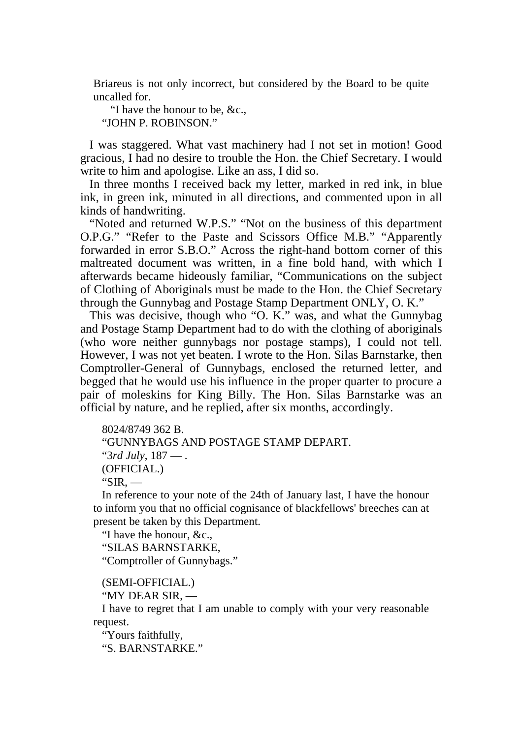Briareus is not only incorrect, but considered by the Board to be quite uncalled for.

 "I have the honour to be, &c., "JOHN P. ROBINSON."

 I was staggered. What vast machinery had I not set in motion! Good gracious, I had no desire to trouble the Hon. the Chief Secretary. I would write to him and apologise. Like an ass, I did so.

 In three months I received back my letter, marked in red ink, in blue ink, in green ink, minuted in all directions, and commented upon in all kinds of handwriting.

 "Noted and returned W.P.S." "Not on the business of this department O.P.G." "Refer to the Paste and Scissors Office M.B." "Apparently forwarded in error S.B.O." Across the right-hand bottom corner of this maltreated document was written, in a fine bold hand, with which I afterwards became hideously familiar, "Communications on the subject of Clothing of Aboriginals must be made to the Hon. the Chief Secretary through the Gunnybag and Postage Stamp Department ONLY, O. K."

 This was decisive, though who "O. K." was, and what the Gunnybag and Postage Stamp Department had to do with the clothing of aboriginals (who wore neither gunnybags nor postage stamps), I could not tell. However, I was not yet beaten. I wrote to the Hon. Silas Barnstarke, then Comptroller-General of Gunnybags, enclosed the returned letter, and begged that he would use his influence in the proper quarter to procure a pair of moleskins for King Billy. The Hon. Silas Barnstarke was an official by nature, and he replied, after six months, accordingly.

 8024/8749 362 B. "GUNNYBAGS AND POSTAGE STAMP DEPART. "3*rd July*, 187 — . (OFFICIAL.) " $SIR$ <sub>-</sub>

 In reference to your note of the 24th of January last, I have the honour to inform you that no official cognisance of blackfellows' breeches can at present be taken by this Department.

 "I have the honour, &c., "SILAS BARNSTARKE, "Comptroller of Gunnybags."

(SEMI-OFFICIAL.)

"MY DEAR SIR, —

 I have to regret that I am unable to comply with your very reasonable request.

"Yours faithfully,

"S. BARNSTARKE."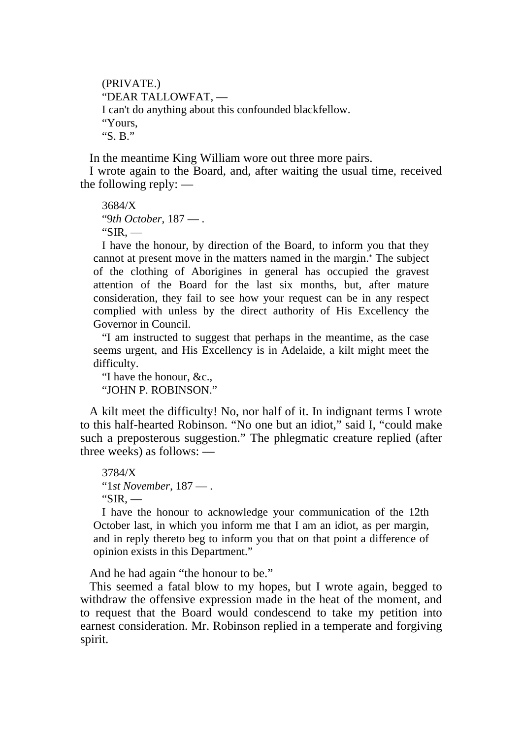(PRIVATE.) "DEAR TALLOWFAT, — I can't do anything about this confounded blackfellow. "Yours, "S. B."

In the meantime King William wore out three more pairs.

 I wrote again to the Board, and, after waiting the usual time, received the following reply: —

 3684/X "9*th October*, 187 — . " $SIR$ . —

 I have the honour, by direction of the Board, to inform you that they cannot at present move in the matters named in the margin.\* The subject of the clothing of Aborigines in general has occupied the gravest attention of the Board for the last six months, but, after mature consideration, they fail to see how your request can be in any respect complied with unless by the direct authority of His Excellency the Governor in Council.

 "I am instructed to suggest that perhaps in the meantime, as the case seems urgent, and His Excellency is in Adelaide, a kilt might meet the difficulty.

 "I have the honour, &c., "JOHN P. ROBINSON."

 A kilt meet the difficulty! No, nor half of it. In indignant terms I wrote to this half-hearted Robinson. "No one but an idiot," said I, "could make such a preposterous suggestion." The phlegmatic creature replied (after three weeks) as follows: —

 3784/X "1*st November*, 187 — . " $SIR$ . —

 I have the honour to acknowledge your communication of the 12th October last, in which you inform me that I am an idiot, as per margin, and in reply thereto beg to inform you that on that point a difference of opinion exists in this Department."

And he had again "the honour to be."

 This seemed a fatal blow to my hopes, but I wrote again, begged to withdraw the offensive expression made in the heat of the moment, and to request that the Board would condescend to take my petition into earnest consideration. Mr. Robinson replied in a temperate and forgiving spirit.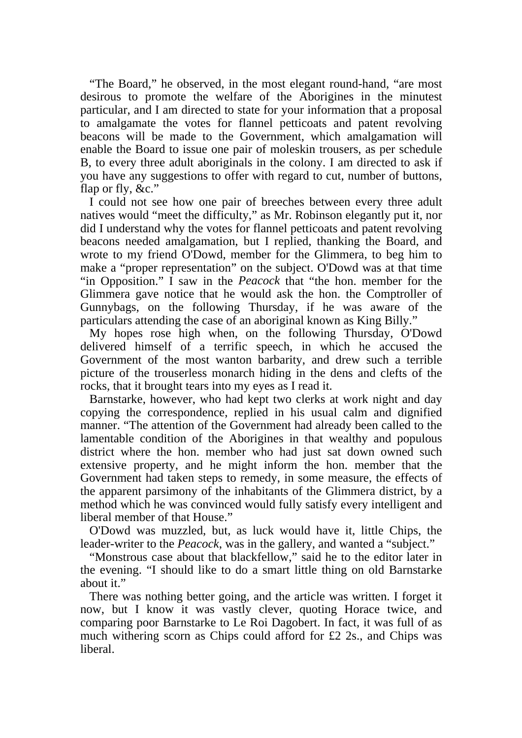"The Board," he observed, in the most elegant round-hand, "are most desirous to promote the welfare of the Aborigines in the minutest particular, and I am directed to state for your information that a proposal to amalgamate the votes for flannel petticoats and patent revolving beacons will be made to the Government, which amalgamation will enable the Board to issue one pair of moleskin trousers, as per schedule B, to every three adult aboriginals in the colony. I am directed to ask if you have any suggestions to offer with regard to cut, number of buttons, flap or fly, &c."

 I could not see how one pair of breeches between every three adult natives would "meet the difficulty," as Mr. Robinson elegantly put it, nor did I understand why the votes for flannel petticoats and patent revolving beacons needed amalgamation, but I replied, thanking the Board, and wrote to my friend O'Dowd, member for the Glimmera, to beg him to make a "proper representation" on the subject. O'Dowd was at that time "in Opposition." I saw in the *Peacock* that "the hon. member for the Glimmera gave notice that he would ask the hon. the Comptroller of Gunnybags, on the following Thursday, if he was aware of the particulars attending the case of an aboriginal known as King Billy."

 My hopes rose high when, on the following Thursday, O'Dowd delivered himself of a terrific speech, in which he accused the Government of the most wanton barbarity, and drew such a terrible picture of the trouserless monarch hiding in the dens and clefts of the rocks, that it brought tears into my eyes as I read it.

 Barnstarke, however, who had kept two clerks at work night and day copying the correspondence, replied in his usual calm and dignified manner. "The attention of the Government had already been called to the lamentable condition of the Aborigines in that wealthy and populous district where the hon. member who had just sat down owned such extensive property, and he might inform the hon. member that the Government had taken steps to remedy, in some measure, the effects of the apparent parsimony of the inhabitants of the Glimmera district, by a method which he was convinced would fully satisfy every intelligent and liberal member of that House."

 O'Dowd was muzzled, but, as luck would have it, little Chips, the leader-writer to the *Peacock*, was in the gallery, and wanted a "subject."

 "Monstrous case about that blackfellow," said he to the editor later in the evening. "I should like to do a smart little thing on old Barnstarke about it."

 There was nothing better going, and the article was written. I forget it now, but I know it was vastly clever, quoting Horace twice, and comparing poor Barnstarke to Le Roi Dagobert. In fact, it was full of as much withering scorn as Chips could afford for £2 2s., and Chips was liberal.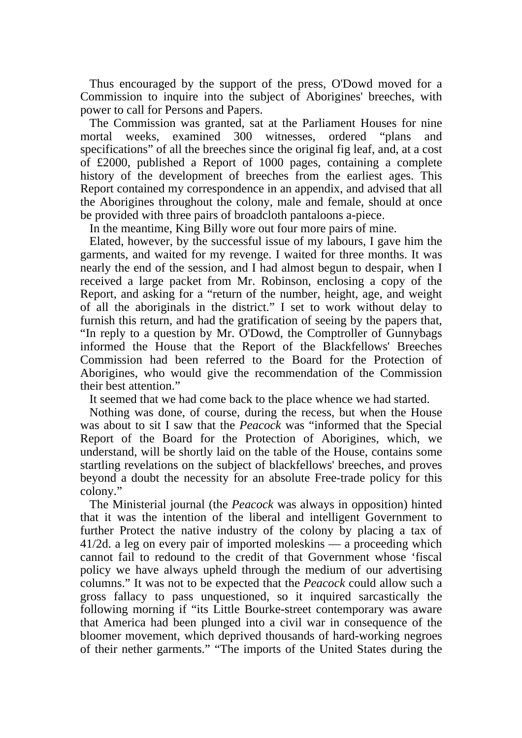Thus encouraged by the support of the press, O'Dowd moved for a Commission to inquire into the subject of Aborigines' breeches, with power to call for Persons and Papers.

 The Commission was granted, sat at the Parliament Houses for nine mortal weeks, examined 300 witnesses, ordered "plans and specifications" of all the breeches since the original fig leaf, and, at a cost of £2000, published a Report of 1000 pages, containing a complete history of the development of breeches from the earliest ages. This Report contained my correspondence in an appendix, and advised that all the Aborigines throughout the colony, male and female, should at once be provided with three pairs of broadcloth pantaloons a-piece.

In the meantime, King Billy wore out four more pairs of mine.

 Elated, however, by the successful issue of my labours, I gave him the garments, and waited for my revenge. I waited for three months. It was nearly the end of the session, and I had almost begun to despair, when I received a large packet from Mr. Robinson, enclosing a copy of the Report, and asking for a "return of the number, height, age, and weight of all the aboriginals in the district." I set to work without delay to furnish this return, and had the gratification of seeing by the papers that, "In reply to a question by Mr. O'Dowd, the Comptroller of Gunnybags informed the House that the Report of the Blackfellows' Breeches Commission had been referred to the Board for the Protection of Aborigines, who would give the recommendation of the Commission their best attention."

It seemed that we had come back to the place whence we had started.

 Nothing was done, of course, during the recess, but when the House was about to sit I saw that the *Peacock* was "informed that the Special Report of the Board for the Protection of Aborigines, which, we understand, will be shortly laid on the table of the House, contains some startling revelations on the subject of blackfellows' breeches, and proves beyond a doubt the necessity for an absolute Free-trade policy for this colony."

 The Ministerial journal (the *Peacock* was always in opposition) hinted that it was the intention of the liberal and intelligent Government to further Protect the native industry of the colony by placing a tax of 41/2d. a leg on every pair of imported moleskins — a proceeding which cannot fail to redound to the credit of that Government whose 'fiscal policy we have always upheld through the medium of our advertising columns." It was not to be expected that the *Peacock* could allow such a gross fallacy to pass unquestioned, so it inquired sarcastically the following morning if "its Little Bourke-street contemporary was aware that America had been plunged into a civil war in consequence of the bloomer movement, which deprived thousands of hard-working negroes of their nether garments." "The imports of the United States during the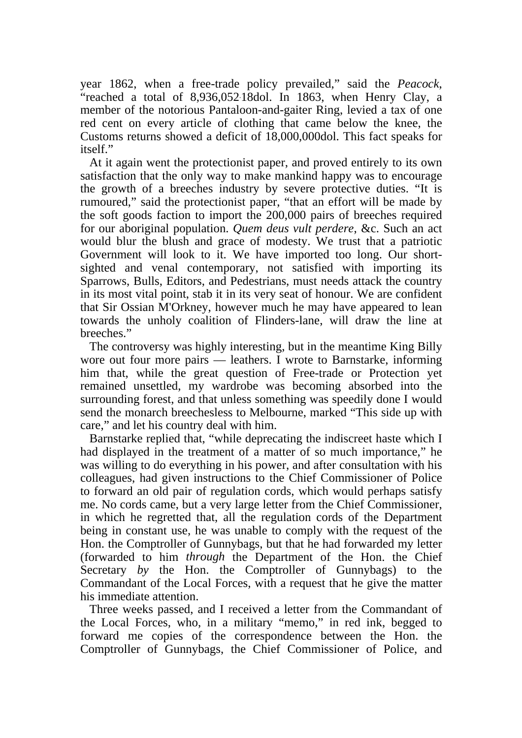year 1862, when a free-trade policy prevailed," said the *Peacock*, "reached a total of 8,936,052. 18dol. In 1863, when Henry Clay, a member of the notorious Pantaloon-and-gaiter Ring, levied a tax of one red cent on every article of clothing that came below the knee, the Customs returns showed a deficit of 18,000,000dol. This fact speaks for itself."

 At it again went the protectionist paper, and proved entirely to its own satisfaction that the only way to make mankind happy was to encourage the growth of a breeches industry by severe protective duties. "It is rumoured," said the protectionist paper, "that an effort will be made by the soft goods faction to import the 200,000 pairs of breeches required for our aboriginal population. *Quem deus vult perdere*, &c. Such an act would blur the blush and grace of modesty. We trust that a patriotic Government will look to it. We have imported too long. Our shortsighted and venal contemporary, not satisfied with importing its Sparrows, Bulls, Editors, and Pedestrians, must needs attack the country in its most vital point, stab it in its very seat of honour. We are confident that Sir Ossian M'Orkney, however much he may have appeared to lean towards the unholy coalition of Flinders-lane, will draw the line at breeches."

 The controversy was highly interesting, but in the meantime King Billy wore out four more pairs — leathers. I wrote to Barnstarke, informing him that, while the great question of Free-trade or Protection yet remained unsettled, my wardrobe was becoming absorbed into the surrounding forest, and that unless something was speedily done I would send the monarch breechesless to Melbourne, marked "This side up with care," and let his country deal with him.

 Barnstarke replied that, "while deprecating the indiscreet haste which I had displayed in the treatment of a matter of so much importance," he was willing to do everything in his power, and after consultation with his colleagues, had given instructions to the Chief Commissioner of Police to forward an old pair of regulation cords, which would perhaps satisfy me. No cords came, but a very large letter from the Chief Commissioner, in which he regretted that, all the regulation cords of the Department being in constant use, he was unable to comply with the request of the Hon. the Comptroller of Gunnybags, but that he had forwarded my letter (forwarded to him *through* the Department of the Hon. the Chief Secretary *by* the Hon. the Comptroller of Gunnybags) to the Commandant of the Local Forces, with a request that he give the matter his immediate attention.

 Three weeks passed, and I received a letter from the Commandant of the Local Forces, who, in a military "memo," in red ink, begged to forward me copies of the correspondence between the Hon. the Comptroller of Gunnybags, the Chief Commissioner of Police, and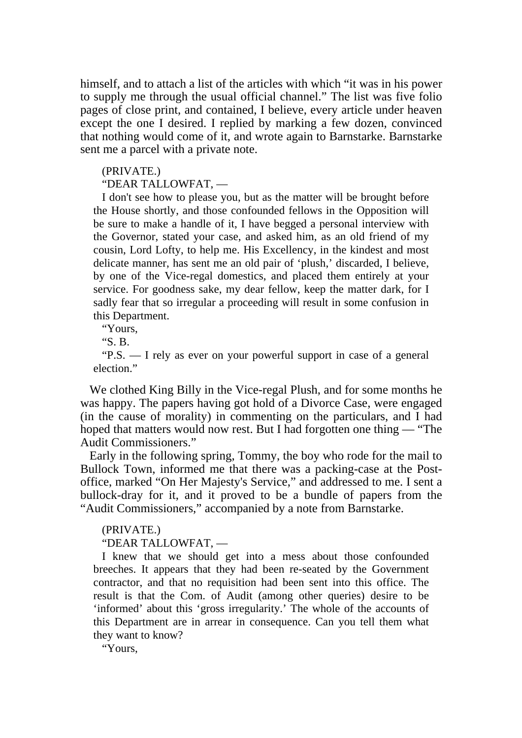himself, and to attach a list of the articles with which "it was in his power to supply me through the usual official channel." The list was five folio pages of close print, and contained, I believe, every article under heaven except the one I desired. I replied by marking a few dozen, convinced that nothing would come of it, and wrote again to Barnstarke. Barnstarke sent me a parcel with a private note.

#### (PRIVATE.)

#### "DEAR TALLOWFAT, —

 I don't see how to please you, but as the matter will be brought before the House shortly, and those confounded fellows in the Opposition will be sure to make a handle of it, I have begged a personal interview with the Governor, stated your case, and asked him, as an old friend of my cousin, Lord Lofty, to help me. His Excellency, in the kindest and most delicate manner, has sent me an old pair of 'plush,' discarded, I believe, by one of the Vice-regal domestics, and placed them entirely at your service. For goodness sake, my dear fellow, keep the matter dark, for I sadly fear that so irregular a proceeding will result in some confusion in this Department.

"Yours,

"S. B.

 "P.S. — I rely as ever on your powerful support in case of a general election."

 We clothed King Billy in the Vice-regal Plush, and for some months he was happy. The papers having got hold of a Divorce Case, were engaged (in the cause of morality) in commenting on the particulars, and I had hoped that matters would now rest. But I had forgotten one thing — "The Audit Commissioners."

 Early in the following spring, Tommy, the boy who rode for the mail to Bullock Town, informed me that there was a packing-case at the Postoffice, marked "On Her Majesty's Service," and addressed to me. I sent a bullock-dray for it, and it proved to be a bundle of papers from the "Audit Commissioners," accompanied by a note from Barnstarke.

#### (PRIVATE.)

"DEAR TALLOWFAT, —

 I knew that we should get into a mess about those confounded breeches. It appears that they had been re-seated by the Government contractor, and that no requisition had been sent into this office. The result is that the Com. of Audit (among other queries) desire to be 'informed' about this 'gross irregularity.' The whole of the accounts of this Department are in arrear in consequence. Can you tell them what they want to know?

"Yours,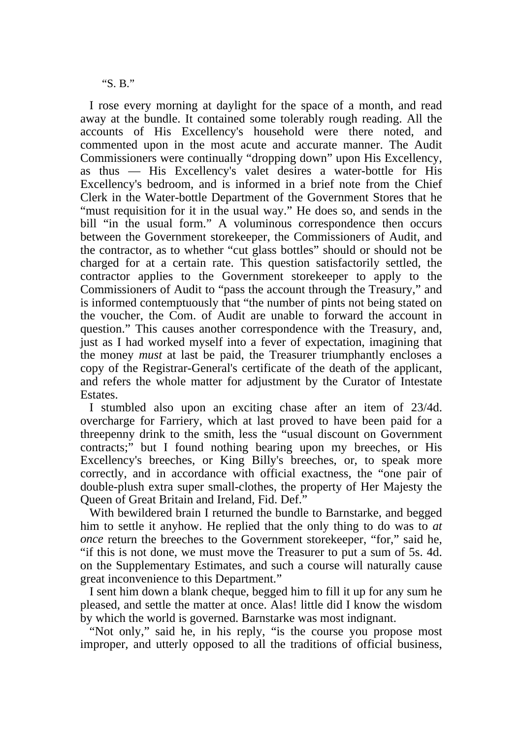"S. B."

 I rose every morning at daylight for the space of a month, and read away at the bundle. It contained some tolerably rough reading. All the accounts of His Excellency's household were there noted, and commented upon in the most acute and accurate manner. The Audit Commissioners were continually "dropping down" upon His Excellency, as thus — His Excellency's valet desires a water-bottle for His Excellency's bedroom, and is informed in a brief note from the Chief Clerk in the Water-bottle Department of the Government Stores that he "must requisition for it in the usual way." He does so, and sends in the bill "in the usual form." A voluminous correspondence then occurs between the Government storekeeper, the Commissioners of Audit, and the contractor, as to whether "cut glass bottles" should or should not be charged for at a certain rate. This question satisfactorily settled, the contractor applies to the Government storekeeper to apply to the Commissioners of Audit to "pass the account through the Treasury," and is informed contemptuously that "the number of pints not being stated on the voucher, the Com. of Audit are unable to forward the account in question." This causes another correspondence with the Treasury, and, just as I had worked myself into a fever of expectation, imagining that the money *must* at last be paid, the Treasurer triumphantly encloses a copy of the Registrar-General's certificate of the death of the applicant, and refers the whole matter for adjustment by the Curator of Intestate Estates.

 I stumbled also upon an exciting chase after an item of 23/4d. overcharge for Farriery, which at last proved to have been paid for a threepenny drink to the smith, less the "usual discount on Government contracts;" but I found nothing bearing upon my breeches, or His Excellency's breeches, or King Billy's breeches, or, to speak more correctly, and in accordance with official exactness, the "one pair of double-plush extra super small-clothes, the property of Her Majesty the Queen of Great Britain and Ireland, Fid. Def."

 With bewildered brain I returned the bundle to Barnstarke, and begged him to settle it anyhow. He replied that the only thing to do was to *at once* return the breeches to the Government storekeeper, "for," said he, "if this is not done, we must move the Treasurer to put a sum of 5s. 4d. on the Supplementary Estimates, and such a course will naturally cause great inconvenience to this Department."

 I sent him down a blank cheque, begged him to fill it up for any sum he pleased, and settle the matter at once. Alas! little did I know the wisdom by which the world is governed. Barnstarke was most indignant.

 "Not only," said he, in his reply, "is the course you propose most improper, and utterly opposed to all the traditions of official business,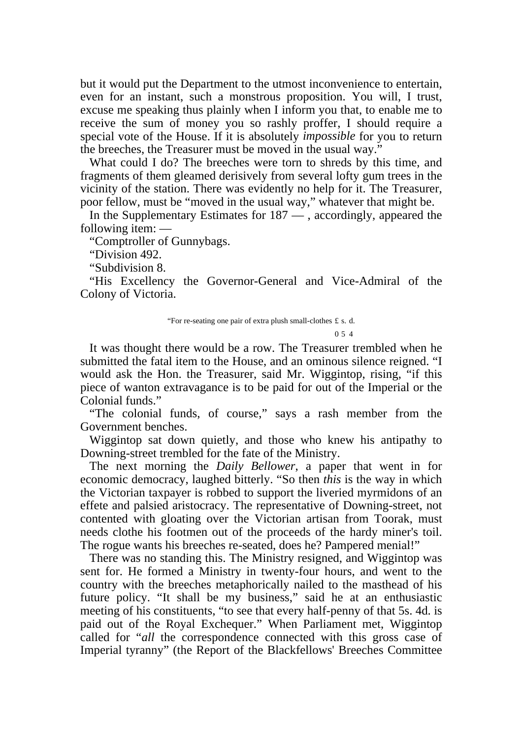but it would put the Department to the utmost inconvenience to entertain, even for an instant, such a monstrous proposition. You will, I trust, excuse me speaking thus plainly when I inform you that, to enable me to receive the sum of money you so rashly proffer, I should require a special vote of the House. If it is absolutely *impossible* for you to return the breeches, the Treasurer must be moved in the usual way."

 What could I do? The breeches were torn to shreds by this time, and fragments of them gleamed derisively from several lofty gum trees in the vicinity of the station. There was evidently no help for it. The Treasurer, poor fellow, must be "moved in the usual way," whatever that might be.

 In the Supplementary Estimates for 187 — , accordingly, appeared the following item: —

"Comptroller of Gunnybags.

"Division 492.

"Subdivision 8.

 "His Excellency the Governor-General and Vice-Admiral of the Colony of Victoria.

> "For re-seating one pair of extra plush small-clothes £ s. d. 05 4

 It was thought there would be a row. The Treasurer trembled when he submitted the fatal item to the House, and an ominous silence reigned. "I would ask the Hon. the Treasurer, said Mr. Wiggintop, rising, "if this piece of wanton extravagance is to be paid for out of the Imperial or the Colonial funds."

 "The colonial funds, of course," says a rash member from the Government benches.

 Wiggintop sat down quietly, and those who knew his antipathy to Downing-street trembled for the fate of the Ministry.

 The next morning the *Daily Bellower*, a paper that went in for economic democracy, laughed bitterly. "So then *this* is the way in which the Victorian taxpayer is robbed to support the liveried myrmidons of an effete and palsied aristocracy. The representative of Downing-street, not contented with gloating over the Victorian artisan from Toorak, must needs clothe his footmen out of the proceeds of the hardy miner's toil. The rogue wants his breeches re-seated, does he? Pampered menial!"

 There was no standing this. The Ministry resigned, and Wiggintop was sent for. He formed a Ministry in twenty-four hours, and went to the country with the breeches metaphorically nailed to the masthead of his future policy. "It shall be my business," said he at an enthusiastic meeting of his constituents, "to see that every half-penny of that 5s. 4d. is paid out of the Royal Exchequer." When Parliament met, Wiggintop called for "*all* the correspondence connected with this gross case of Imperial tyranny" (the Report of the Blackfellows' Breeches Committee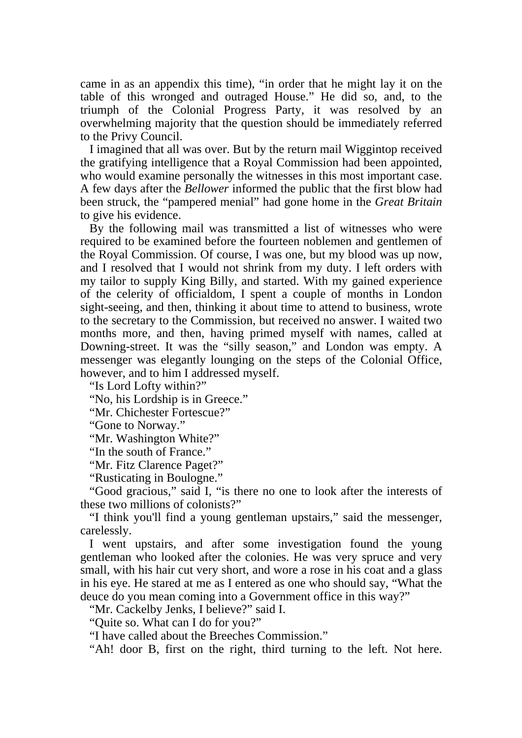came in as an appendix this time), "in order that he might lay it on the table of this wronged and outraged House." He did so, and, to the triumph of the Colonial Progress Party, it was resolved by an overwhelming majority that the question should be immediately referred to the Privy Council.

 I imagined that all was over. But by the return mail Wiggintop received the gratifying intelligence that a Royal Commission had been appointed, who would examine personally the witnesses in this most important case. A few days after the *Bellower* informed the public that the first blow had been struck, the "pampered menial" had gone home in the *Great Britain* to give his evidence.

 By the following mail was transmitted a list of witnesses who were required to be examined before the fourteen noblemen and gentlemen of the Royal Commission. Of course, I was one, but my blood was up now, and I resolved that I would not shrink from my duty. I left orders with my tailor to supply King Billy, and started. With my gained experience of the celerity of officialdom, I spent a couple of months in London sight-seeing, and then, thinking it about time to attend to business, wrote to the secretary to the Commission, but received no answer. I waited two months more, and then, having primed myself with names, called at Downing-street. It was the "silly season," and London was empty. A messenger was elegantly lounging on the steps of the Colonial Office, however, and to him I addressed myself.

"Is Lord Lofty within?"

"No, his Lordship is in Greece."

"Mr. Chichester Fortescue?"

"Gone to Norway."

"Mr. Washington White?"

"In the south of France."

"Mr. Fitz Clarence Paget?"

"Rusticating in Boulogne."

 "Good gracious," said I, "is there no one to look after the interests of these two millions of colonists?"

 "I think you'll find a young gentleman upstairs," said the messenger, carelessly.

 I went upstairs, and after some investigation found the young gentleman who looked after the colonies. He was very spruce and very small, with his hair cut very short, and wore a rose in his coat and a glass in his eye. He stared at me as I entered as one who should say, "What the deuce do you mean coming into a Government office in this way?"

"Mr. Cackelby Jenks, I believe?" said I.

"Quite so. What can I do for you?"

"I have called about the Breeches Commission."

"Ah! door B, first on the right, third turning to the left. Not here.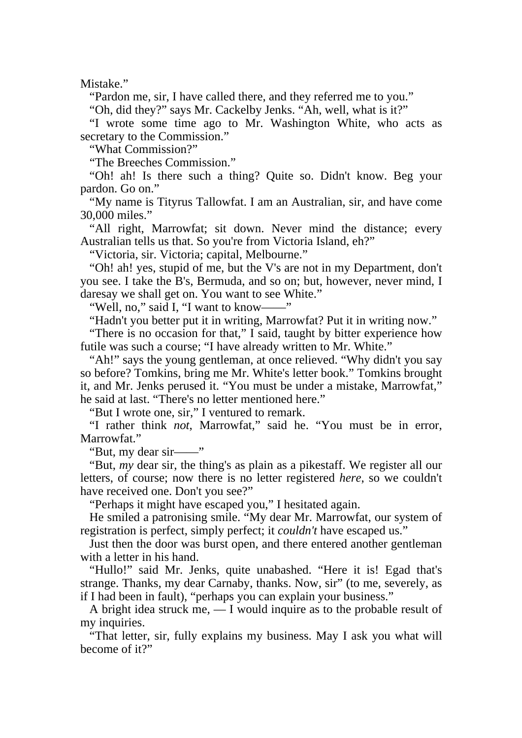Mistake."

"Pardon me, sir, I have called there, and they referred me to you."

"Oh, did they?" says Mr. Cackelby Jenks. "Ah, well, what is it?"

 "I wrote some time ago to Mr. Washington White, who acts as secretary to the Commission."

"What Commission?"

"The Breeches Commission."

 "Oh! ah! Is there such a thing? Quite so. Didn't know. Beg your pardon. Go on."

 "My name is Tityrus Tallowfat. I am an Australian, sir, and have come 30,000 miles."

 "All right, Marrowfat; sit down. Never mind the distance; every Australian tells us that. So you're from Victoria Island, eh?"

"Victoria, sir. Victoria; capital, Melbourne."

 "Oh! ah! yes, stupid of me, but the V's are not in my Department, don't you see. I take the B's, Bermuda, and so on; but, however, never mind, I daresay we shall get on. You want to see White."

"Well, no," said I, "I want to know——"

"Hadn't you better put it in writing, Marrowfat? Put it in writing now."

 "There is no occasion for that," I said, taught by bitter experience how futile was such a course; "I have already written to Mr. White."

 "Ah!" says the young gentleman, at once relieved. "Why didn't you say so before? Tomkins, bring me Mr. White's letter book." Tomkins brought it, and Mr. Jenks perused it. "You must be under a mistake, Marrowfat," he said at last. "There's no letter mentioned here."

"But I wrote one, sir," I ventured to remark.

 "I rather think *not*, Marrowfat," said he. "You must be in error, Marrowfat."

"But, my dear sir——"

 "But, *my* dear sir, the thing's as plain as a pikestaff. We register all our letters, of course; now there is no letter registered *here*, so we couldn't have received one. Don't you see?"

"Perhaps it might have escaped you," I hesitated again.

 He smiled a patronising smile. "My dear Mr. Marrowfat, our system of registration is perfect, simply perfect; it *couldn't* have escaped us."

 Just then the door was burst open, and there entered another gentleman with a letter in his hand.

 "Hullo!" said Mr. Jenks, quite unabashed. "Here it is! Egad that's strange. Thanks, my dear Carnaby, thanks. Now, sir" (to me, severely, as if I had been in fault), "perhaps you can explain your business."

 A bright idea struck me, — I would inquire as to the probable result of my inquiries.

 "That letter, sir, fully explains my business. May I ask you what will become of it?"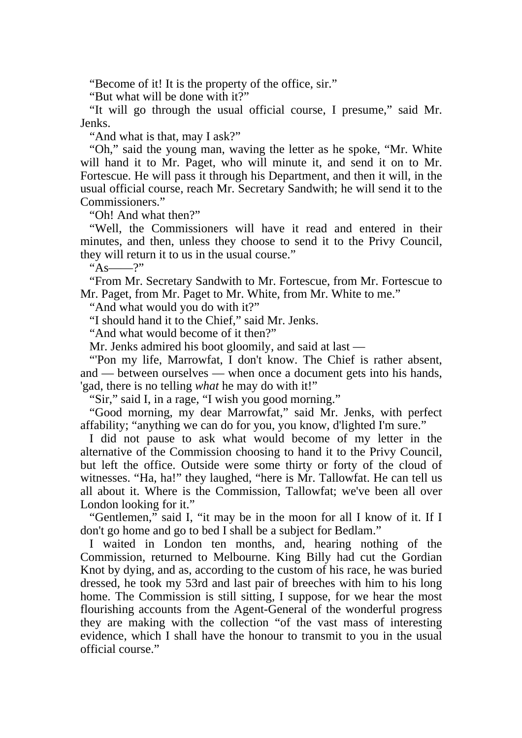"Become of it! It is the property of the office, sir."

"But what will be done with it?"

 "It will go through the usual official course, I presume," said Mr. Jenks.

"And what is that, may I ask?"

 "Oh," said the young man, waving the letter as he spoke, "Mr. White will hand it to Mr. Paget, who will minute it, and send it on to Mr. Fortescue. He will pass it through his Department, and then it will, in the usual official course, reach Mr. Secretary Sandwith; he will send it to the Commissioners."

"Oh! And what then?"

 "Well, the Commissioners will have it read and entered in their minutes, and then, unless they choose to send it to the Privy Council, they will return it to us in the usual course."

" $As$  -  $"$ "

 "From Mr. Secretary Sandwith to Mr. Fortescue, from Mr. Fortescue to Mr. Paget, from Mr. Paget to Mr. White, from Mr. White to me."

"And what would you do with it?"

"I should hand it to the Chief," said Mr. Jenks.

"And what would become of it then?"

Mr. Jenks admired his boot gloomily, and said at last —

 "'Pon my life, Marrowfat, I don't know. The Chief is rather absent, and — between ourselves — when once a document gets into his hands, 'gad, there is no telling *what* he may do with it!"

"Sir," said I, in a rage, "I wish you good morning."

 "Good morning, my dear Marrowfat," said Mr. Jenks, with perfect affability; "anything we can do for you, you know, d'lighted I'm sure."

 I did not pause to ask what would become of my letter in the alternative of the Commission choosing to hand it to the Privy Council, but left the office. Outside were some thirty or forty of the cloud of witnesses. "Ha, ha!" they laughed, "here is Mr. Tallowfat. He can tell us all about it. Where is the Commission, Tallowfat; we've been all over London looking for it."

 "Gentlemen," said I, "it may be in the moon for all I know of it. If I don't go home and go to bed I shall be a subject for Bedlam."

 I waited in London ten months, and, hearing nothing of the Commission, returned to Melbourne. King Billy had cut the Gordian Knot by dying, and as, according to the custom of his race, he was buried dressed, he took my 53rd and last pair of breeches with him to his long home. The Commission is still sitting, I suppose, for we hear the most flourishing accounts from the Agent-General of the wonderful progress they are making with the collection "of the vast mass of interesting evidence, which I shall have the honour to transmit to you in the usual official course."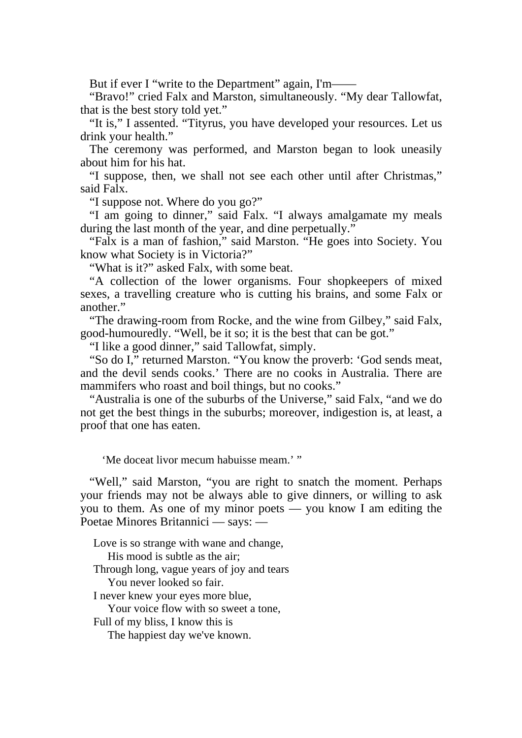But if ever I "write to the Department" again, I'm-

 "Bravo!" cried Falx and Marston, simultaneously. "My dear Tallowfat, that is the best story told yet."

 "It is," I assented. "Tityrus, you have developed your resources. Let us drink your health."

 The ceremony was performed, and Marston began to look uneasily about him for his hat.

 "I suppose, then, we shall not see each other until after Christmas," said Falx.

"I suppose not. Where do you go?"

 "I am going to dinner," said Falx. "I always amalgamate my meals during the last month of the year, and dine perpetually."

 "Falx is a man of fashion," said Marston. "He goes into Society. You know what Society is in Victoria?"

"What is it?" asked Falx, with some beat.

 "A collection of the lower organisms. Four shopkeepers of mixed sexes, a travelling creature who is cutting his brains, and some Falx or another."

 "The drawing-room from Rocke, and the wine from Gilbey," said Falx, good-humouredly. "Well, be it so; it is the best that can be got."

"I like a good dinner," said Tallowfat, simply.

 "So do I," returned Marston. "You know the proverb: 'God sends meat, and the devil sends cooks.' There are no cooks in Australia. There are mammifers who roast and boil things, but no cooks."

 "Australia is one of the suburbs of the Universe," said Falx, "and we do not get the best things in the suburbs; moreover, indigestion is, at least, a proof that one has eaten.

'Me doceat livor mecum habuisse meam.' "

 "Well," said Marston, "you are right to snatch the moment. Perhaps your friends may not be always able to give dinners, or willing to ask you to them. As one of my minor poets — you know I am editing the Poetae Minores Britannici — says: —

Love is so strange with wane and change,

His mood is subtle as the air;

Through long, vague years of joy and tears

You never looked so fair.

I never knew your eyes more blue,

Your voice flow with so sweet a tone,

Full of my bliss, I know this is

The happiest day we've known.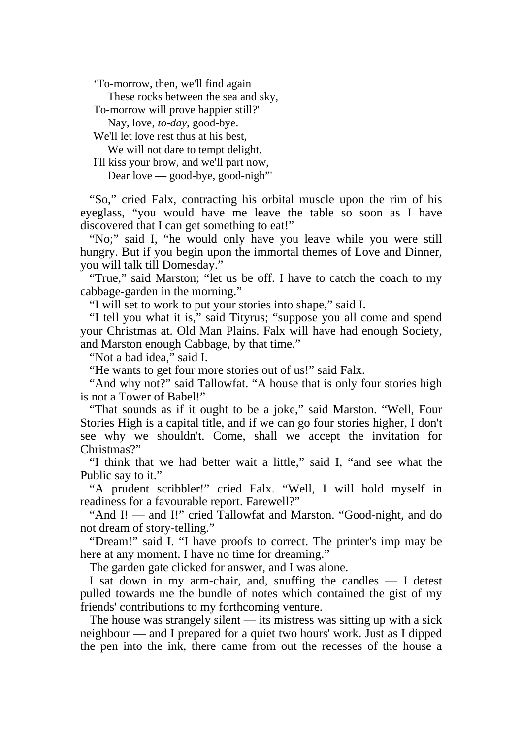'To-morrow, then, we'll find again

These rocks between the sea and sky,

To-morrow will prove happier still?'

Nay, love, *to-day*, good-bye.

We'll let love rest thus at his best,

We will not dare to tempt delight.

I'll kiss your brow, and we'll part now,

Dear love — good-bye, good-nigh"'

 "So," cried Falx, contracting his orbital muscle upon the rim of his eyeglass, "you would have me leave the table so soon as I have discovered that I can get something to eat!"

 "No;" said I, "he would only have you leave while you were still hungry. But if you begin upon the immortal themes of Love and Dinner, you will talk till Domesday."

 "True," said Marston; "let us be off. I have to catch the coach to my cabbage-garden in the morning."

"I will set to work to put your stories into shape," said I.

 "I tell you what it is," said Tityrus; "suppose you all come and spend your Christmas at. Old Man Plains. Falx will have had enough Society, and Marston enough Cabbage, by that time."

"Not a bad idea," said I.

"He wants to get four more stories out of us!" said Falx.

 "And why not?" said Tallowfat. "A house that is only four stories high is not a Tower of Babel!"

 "That sounds as if it ought to be a joke," said Marston. "Well, Four Stories High is a capital title, and if we can go four stories higher, I don't see why we shouldn't. Come, shall we accept the invitation for Christmas?"

 "I think that we had better wait a little," said I, "and see what the Public say to it."

 "A prudent scribbler!" cried Falx. "Well, I will hold myself in readiness for a favourable report. Farewell?"

"And I! — and I!" cried Tallowfat and Marston. "Good-night, and do not dream of story-telling."

 "Dream!" said I. "I have proofs to correct. The printer's imp may be here at any moment. I have no time for dreaming."

The garden gate clicked for answer, and I was alone.

 I sat down in my arm-chair, and, snuffing the candles — I detest pulled towards me the bundle of notes which contained the gist of my friends' contributions to my forthcoming venture.

The house was strangely silent  $-$  its mistress was sitting up with a sick neighbour — and I prepared for a quiet two hours' work. Just as I dipped the pen into the ink, there came from out the recesses of the house a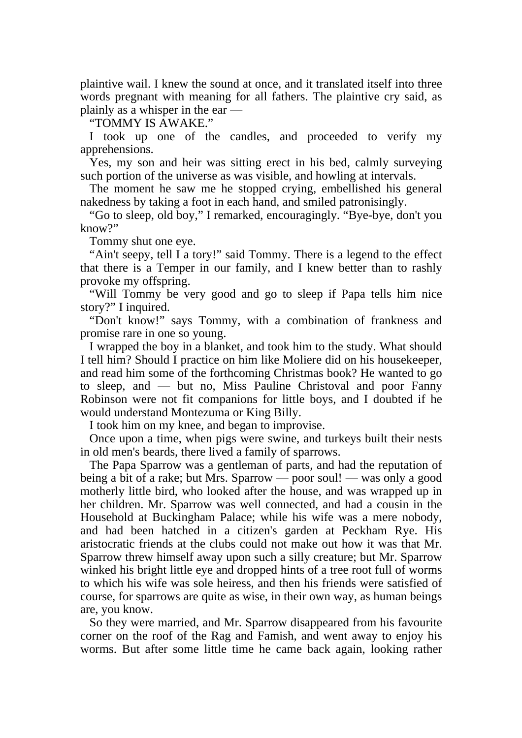plaintive wail. I knew the sound at once, and it translated itself into three words pregnant with meaning for all fathers. The plaintive cry said, as plainly as a whisper in the ear —

"TOMMY IS AWAKE."

 I took up one of the candles, and proceeded to verify my apprehensions.

 Yes, my son and heir was sitting erect in his bed, calmly surveying such portion of the universe as was visible, and howling at intervals.

 The moment he saw me he stopped crying, embellished his general nakedness by taking a foot in each hand, and smiled patronisingly.

 "Go to sleep, old boy," I remarked, encouragingly. "Bye-bye, don't you know?"

Tommy shut one eye.

 "Ain't seepy, tell I a tory!" said Tommy. There is a legend to the effect that there is a Temper in our family, and I knew better than to rashly provoke my offspring.

 "Will Tommy be very good and go to sleep if Papa tells him nice story?" I inquired.

 "Don't know!" says Tommy, with a combination of frankness and promise rare in one so young.

 I wrapped the boy in a blanket, and took him to the study. What should I tell him? Should I practice on him like Moliere did on his housekeeper, and read him some of the forthcoming Christmas book? He wanted to go to sleep, and — but no, Miss Pauline Christoval and poor Fanny Robinson were not fit companions for little boys, and I doubted if he would understand Montezuma or King Billy.

I took him on my knee, and began to improvise.

 Once upon a time, when pigs were swine, and turkeys built their nests in old men's beards, there lived a family of sparrows.

 The Papa Sparrow was a gentleman of parts, and had the reputation of being a bit of a rake; but Mrs. Sparrow — poor soul! — was only a good motherly little bird, who looked after the house, and was wrapped up in her children. Mr. Sparrow was well connected, and had a cousin in the Household at Buckingham Palace; while his wife was a mere nobody, and had been hatched in a citizen's garden at Peckham Rye. His aristocratic friends at the clubs could not make out how it was that Mr. Sparrow threw himself away upon such a silly creature; but Mr. Sparrow winked his bright little eye and dropped hints of a tree root full of worms to which his wife was sole heiress, and then his friends were satisfied of course, for sparrows are quite as wise, in their own way, as human beings are, you know.

 So they were married, and Mr. Sparrow disappeared from his favourite corner on the roof of the Rag and Famish, and went away to enjoy his worms. But after some little time he came back again, looking rather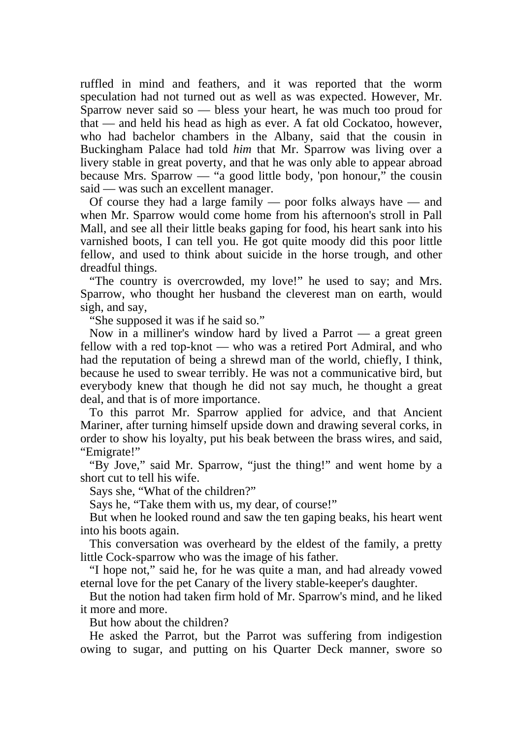ruffled in mind and feathers, and it was reported that the worm speculation had not turned out as well as was expected. However, Mr. Sparrow never said so — bless your heart, he was much too proud for that — and held his head as high as ever. A fat old Cockatoo, however, who had bachelor chambers in the Albany, said that the cousin in Buckingham Palace had told *him* that Mr. Sparrow was living over a livery stable in great poverty, and that he was only able to appear abroad because Mrs. Sparrow — "a good little body, 'pon honour," the cousin said — was such an excellent manager.

 Of course they had a large family — poor folks always have — and when Mr. Sparrow would come home from his afternoon's stroll in Pall Mall, and see all their little beaks gaping for food, his heart sank into his varnished boots, I can tell you. He got quite moody did this poor little fellow, and used to think about suicide in the horse trough, and other dreadful things.

 "The country is overcrowded, my love!" he used to say; and Mrs. Sparrow, who thought her husband the cleverest man on earth, would sigh, and say,

"She supposed it was if he said so."

Now in a milliner's window hard by lived a Parrot  $-$  a great green fellow with a red top-knot — who was a retired Port Admiral, and who had the reputation of being a shrewd man of the world, chiefly, I think, because he used to swear terribly. He was not a communicative bird, but everybody knew that though he did not say much, he thought a great deal, and that is of more importance.

 To this parrot Mr. Sparrow applied for advice, and that Ancient Mariner, after turning himself upside down and drawing several corks, in order to show his loyalty, put his beak between the brass wires, and said, "Emigrate!"

 "By Jove," said Mr. Sparrow, "just the thing!" and went home by a short cut to tell his wife.

Says she, "What of the children?"

Says he, "Take them with us, my dear, of course!"

 But when he looked round and saw the ten gaping beaks, his heart went into his boots again.

 This conversation was overheard by the eldest of the family, a pretty little Cock-sparrow who was the image of his father.

 "I hope not," said he, for he was quite a man, and had already vowed eternal love for the pet Canary of the livery stable-keeper's daughter.

 But the notion had taken firm hold of Mr. Sparrow's mind, and he liked it more and more.

But how about the children?

 He asked the Parrot, but the Parrot was suffering from indigestion owing to sugar, and putting on his Quarter Deck manner, swore so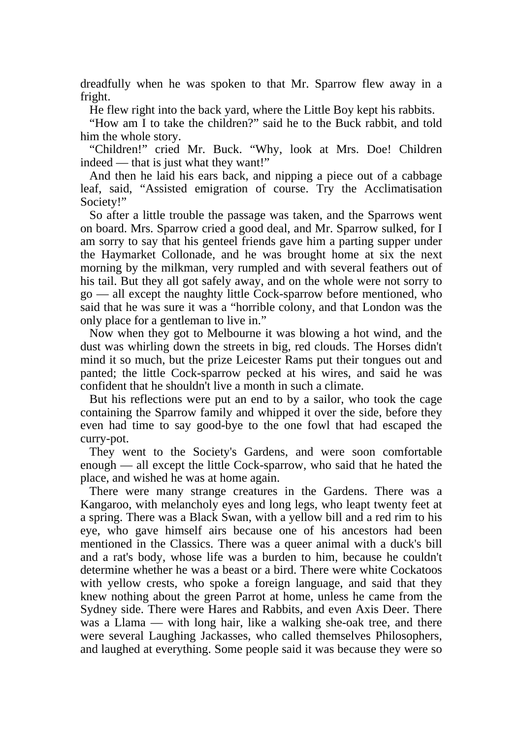dreadfully when he was spoken to that Mr. Sparrow flew away in a fright.

He flew right into the back yard, where the Little Boy kept his rabbits.

 "How am I to take the children?" said he to the Buck rabbit, and told him the whole story.

 "Children!" cried Mr. Buck. "Why, look at Mrs. Doe! Children indeed — that is just what they want!"

 And then he laid his ears back, and nipping a piece out of a cabbage leaf, said, "Assisted emigration of course. Try the Acclimatisation Society!"

 So after a little trouble the passage was taken, and the Sparrows went on board. Mrs. Sparrow cried a good deal, and Mr. Sparrow sulked, for I am sorry to say that his genteel friends gave him a parting supper under the Haymarket Collonade, and he was brought home at six the next morning by the milkman, very rumpled and with several feathers out of his tail. But they all got safely away, and on the whole were not sorry to go — all except the naughty little Cock-sparrow before mentioned, who said that he was sure it was a "horrible colony, and that London was the only place for a gentleman to live in."

 Now when they got to Melbourne it was blowing a hot wind, and the dust was whirling down the streets in big, red clouds. The Horses didn't mind it so much, but the prize Leicester Rams put their tongues out and panted; the little Cock-sparrow pecked at his wires, and said he was confident that he shouldn't live a month in such a climate.

 But his reflections were put an end to by a sailor, who took the cage containing the Sparrow family and whipped it over the side, before they even had time to say good-bye to the one fowl that had escaped the curry-pot.

 They went to the Society's Gardens, and were soon comfortable enough — all except the little Cock-sparrow, who said that he hated the place, and wished he was at home again.

 There were many strange creatures in the Gardens. There was a Kangaroo, with melancholy eyes and long legs, who leapt twenty feet at a spring. There was a Black Swan, with a yellow bill and a red rim to his eye, who gave himself airs because one of his ancestors had been mentioned in the Classics. There was a queer animal with a duck's bill and a rat's body, whose life was a burden to him, because he couldn't determine whether he was a beast or a bird. There were white Cockatoos with yellow crests, who spoke a foreign language, and said that they knew nothing about the green Parrot at home, unless he came from the Sydney side. There were Hares and Rabbits, and even Axis Deer. There was a Llama — with long hair, like a walking she-oak tree, and there were several Laughing Jackasses, who called themselves Philosophers, and laughed at everything. Some people said it was because they were so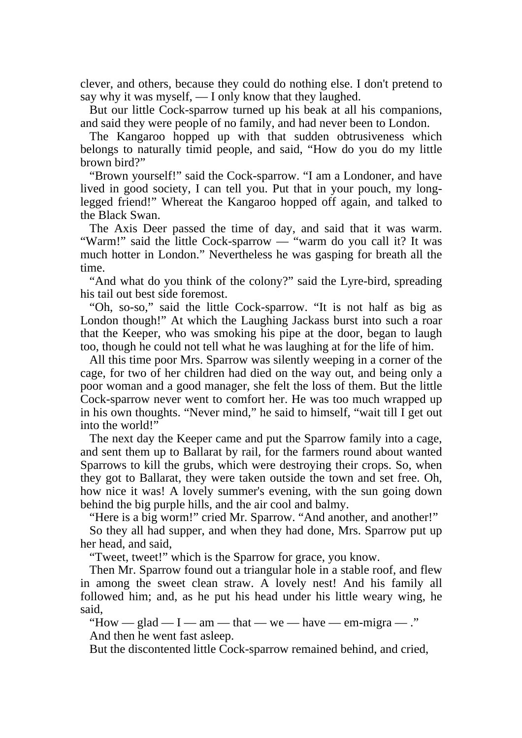clever, and others, because they could do nothing else. I don't pretend to say why it was myself, — I only know that they laughed.

 But our little Cock-sparrow turned up his beak at all his companions, and said they were people of no family, and had never been to London.

 The Kangaroo hopped up with that sudden obtrusiveness which belongs to naturally timid people, and said, "How do you do my little brown bird?"

 "Brown yourself!" said the Cock-sparrow. "I am a Londoner, and have lived in good society, I can tell you. Put that in your pouch, my longlegged friend!" Whereat the Kangaroo hopped off again, and talked to the Black Swan.

 The Axis Deer passed the time of day, and said that it was warm. "Warm!" said the little Cock-sparrow — "warm do you call it? It was much hotter in London." Nevertheless he was gasping for breath all the time.

 "And what do you think of the colony?" said the Lyre-bird, spreading his tail out best side foremost.

 "Oh, so-so," said the little Cock-sparrow. "It is not half as big as London though!" At which the Laughing Jackass burst into such a roar that the Keeper, who was smoking his pipe at the door, began to laugh too, though he could not tell what he was laughing at for the life of him.

 All this time poor Mrs. Sparrow was silently weeping in a corner of the cage, for two of her children had died on the way out, and being only a poor woman and a good manager, she felt the loss of them. But the little Cock-sparrow never went to comfort her. He was too much wrapped up in his own thoughts. "Never mind," he said to himself, "wait till I get out into the world!"

 The next day the Keeper came and put the Sparrow family into a cage, and sent them up to Ballarat by rail, for the farmers round about wanted Sparrows to kill the grubs, which were destroying their crops. So, when they got to Ballarat, they were taken outside the town and set free. Oh, how nice it was! A lovely summer's evening, with the sun going down behind the big purple hills, and the air cool and balmy.

 "Here is a big worm!" cried Mr. Sparrow. "And another, and another!" So they all had supper, and when they had done, Mrs. Sparrow put up her head, and said,

"Tweet, tweet!" which is the Sparrow for grace, you know.

 Then Mr. Sparrow found out a triangular hole in a stable roof, and flew in among the sweet clean straw. A lovely nest! And his family all followed him; and, as he put his head under his little weary wing, he said,

"How — glad — I — am — that — we — have — em-migra — ." And then he went fast asleep.

But the discontented little Cock-sparrow remained behind, and cried,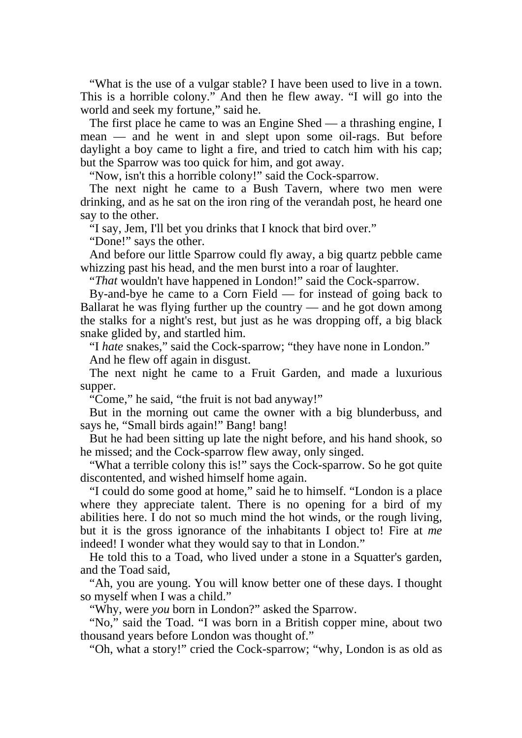"What is the use of a vulgar stable? I have been used to live in a town. This is a horrible colony." And then he flew away. "I will go into the world and seek my fortune," said he.

 The first place he came to was an Engine Shed — a thrashing engine, I mean — and he went in and slept upon some oil-rags. But before daylight a boy came to light a fire, and tried to catch him with his cap; but the Sparrow was too quick for him, and got away.

"Now, isn't this a horrible colony!" said the Cock-sparrow.

 The next night he came to a Bush Tavern, where two men were drinking, and as he sat on the iron ring of the verandah post, he heard one say to the other.

"I say, Jem, I'll bet you drinks that I knock that bird over."

"Done!" says the other.

 And before our little Sparrow could fly away, a big quartz pebble came whizzing past his head, and the men burst into a roar of laughter.

"*That* wouldn't have happened in London!" said the Cock-sparrow.

 By-and-bye he came to a Corn Field — for instead of going back to Ballarat he was flying further up the country — and he got down among the stalks for a night's rest, but just as he was dropping off, a big black snake glided by, and startled him.

 "I *hate* snakes," said the Cock-sparrow; "they have none in London." And he flew off again in disgust.

 The next night he came to a Fruit Garden, and made a luxurious supper.

"Come," he said, "the fruit is not bad anyway!"

 But in the morning out came the owner with a big blunderbuss, and says he, "Small birds again!" Bang! bang!

 But he had been sitting up late the night before, and his hand shook, so he missed; and the Cock-sparrow flew away, only singed.

 "What a terrible colony this is!" says the Cock-sparrow. So he got quite discontented, and wished himself home again.

 "I could do some good at home," said he to himself. "London is a place where they appreciate talent. There is no opening for a bird of my abilities here. I do not so much mind the hot winds, or the rough living, but it is the gross ignorance of the inhabitants I object to! Fire at *me* indeed! I wonder what they would say to that in London."

 He told this to a Toad, who lived under a stone in a Squatter's garden, and the Toad said,

 "Ah, you are young. You will know better one of these days. I thought so myself when I was a child."

"Why, were *you* born in London?" asked the Sparrow.

 "No," said the Toad. "I was born in a British copper mine, about two thousand years before London was thought of."

"Oh, what a story!" cried the Cock-sparrow; "why, London is as old as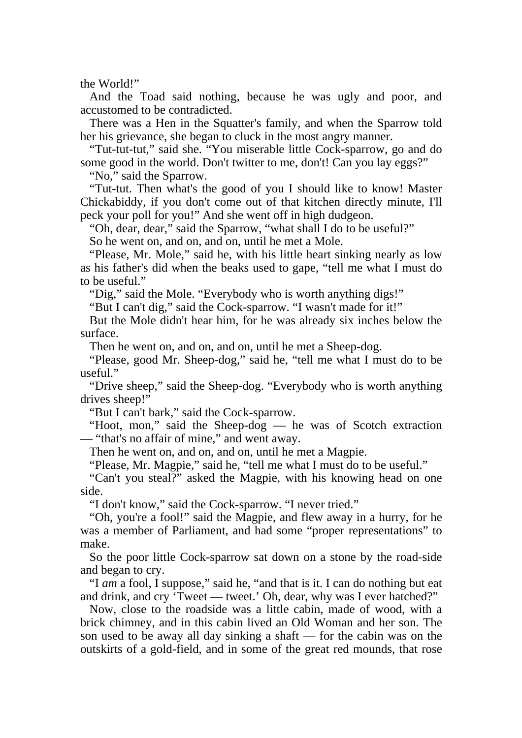the World!"

 And the Toad said nothing, because he was ugly and poor, and accustomed to be contradicted.

 There was a Hen in the Squatter's family, and when the Sparrow told her his grievance, she began to cluck in the most angry manner.

 "Tut-tut-tut," said she. "You miserable little Cock-sparrow, go and do some good in the world. Don't twitter to me, don't! Can you lay eggs?"

"No," said the Sparrow.

 "Tut-tut. Then what's the good of you I should like to know! Master Chickabiddy, if you don't come out of that kitchen directly minute, I'll peck your poll for you!" And she went off in high dudgeon.

"Oh, dear, dear," said the Sparrow, "what shall I do to be useful?"

So he went on, and on, and on, until he met a Mole.

 "Please, Mr. Mole," said he, with his little heart sinking nearly as low as his father's did when the beaks used to gape, "tell me what I must do to be useful."

"Dig," said the Mole. "Everybody who is worth anything digs!"

"But I can't dig," said the Cock-sparrow. "I wasn't made for it!"

 But the Mole didn't hear him, for he was already six inches below the surface.

Then he went on, and on, and on, until he met a Sheep-dog.

 "Please, good Mr. Sheep-dog," said he, "tell me what I must do to be useful."

 "Drive sheep," said the Sheep-dog. "Everybody who is worth anything drives sheep!"

"But I can't bark," said the Cock-sparrow.

 "Hoot, mon," said the Sheep-dog — he was of Scotch extraction — "that's no affair of mine," and went away.

Then he went on, and on, and on, until he met a Magpie.

"Please, Mr. Magpie," said he, "tell me what I must do to be useful."

 "Can't you steal?" asked the Magpie, with his knowing head on one side.

"I don't know," said the Cock-sparrow. "I never tried."

 "Oh, you're a fool!" said the Magpie, and flew away in a hurry, for he was a member of Parliament, and had some "proper representations" to make.

 So the poor little Cock-sparrow sat down on a stone by the road-side and began to cry.

 "I *am* a fool, I suppose," said he, "and that is it. I can do nothing but eat and drink, and cry 'Tweet — tweet.' Oh, dear, why was I ever hatched?"

 Now, close to the roadside was a little cabin, made of wood, with a brick chimney, and in this cabin lived an Old Woman and her son. The son used to be away all day sinking a shaft — for the cabin was on the outskirts of a gold-field, and in some of the great red mounds, that rose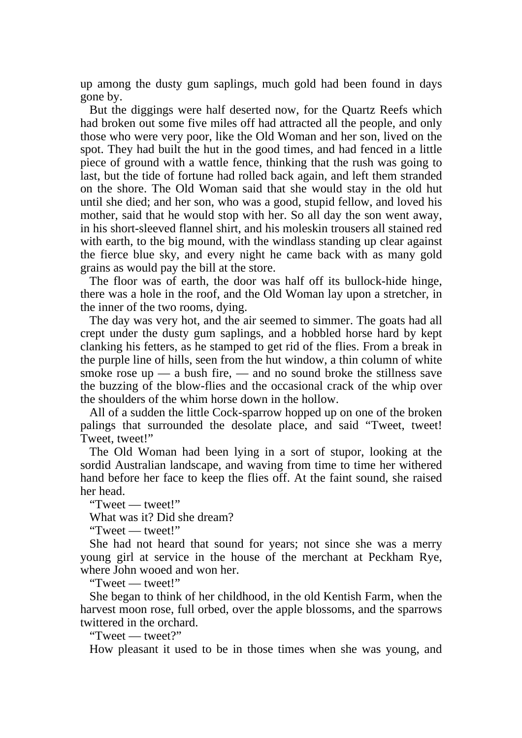up among the dusty gum saplings, much gold had been found in days gone by.

 But the diggings were half deserted now, for the Quartz Reefs which had broken out some five miles off had attracted all the people, and only those who were very poor, like the Old Woman and her son, lived on the spot. They had built the hut in the good times, and had fenced in a little piece of ground with a wattle fence, thinking that the rush was going to last, but the tide of fortune had rolled back again, and left them stranded on the shore. The Old Woman said that she would stay in the old hut until she died; and her son, who was a good, stupid fellow, and loved his mother, said that he would stop with her. So all day the son went away, in his short-sleeved flannel shirt, and his moleskin trousers all stained red with earth, to the big mound, with the windlass standing up clear against the fierce blue sky, and every night he came back with as many gold grains as would pay the bill at the store.

 The floor was of earth, the door was half off its bullock-hide hinge, there was a hole in the roof, and the Old Woman lay upon a stretcher, in the inner of the two rooms, dying.

 The day was very hot, and the air seemed to simmer. The goats had all crept under the dusty gum saplings, and a hobbled horse hard by kept clanking his fetters, as he stamped to get rid of the flies. From a break in the purple line of hills, seen from the hut window, a thin column of white smoke rose  $up - a$  bush fire,  $-$  and no sound broke the stillness save the buzzing of the blow-flies and the occasional crack of the whip over the shoulders of the whim horse down in the hollow.

 All of a sudden the little Cock-sparrow hopped up on one of the broken palings that surrounded the desolate place, and said "Tweet, tweet! Tweet, tweet!"

 The Old Woman had been lying in a sort of stupor, looking at the sordid Australian landscape, and waving from time to time her withered hand before her face to keep the flies off. At the faint sound, she raised her head.

"Tweet — tweet!"

What was it? Did she dream?

"Tweet — tweet!"

 She had not heard that sound for years; not since she was a merry young girl at service in the house of the merchant at Peckham Rye, where John wooed and won her.

"Tweet — tweet!"

 She began to think of her childhood, in the old Kentish Farm, when the harvest moon rose, full orbed, over the apple blossoms, and the sparrows twittered in the orchard.

"Tweet — tweet?"

How pleasant it used to be in those times when she was young, and